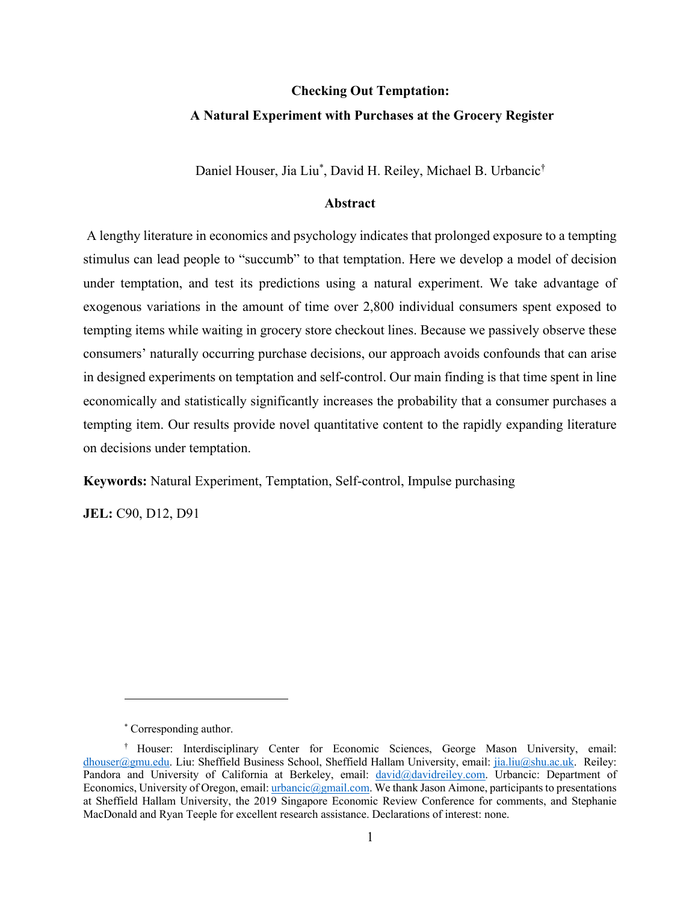# **Checking Out Temptation: A Natural Experiment with Purchases at the Grocery Register**

Daniel Houser, Jia Liu\* , David H. Reiley, Michael B. Urbancic†

## **Abstract**

A lengthy literature in economics and psychology indicates that prolonged exposure to a tempting stimulus can lead people to "succumb" to that temptation. Here we develop a model of decision under temptation, and test its predictions using a natural experiment. We take advantage of exogenous variations in the amount of time over 2,800 individual consumers spent exposed to tempting items while waiting in grocery store checkout lines. Because we passively observe these consumers' naturally occurring purchase decisions, our approach avoids confounds that can arise in designed experiments on temptation and self-control. Our main finding is that time spent in line economically and statistically significantly increases the probability that a consumer purchases a tempting item. Our results provide novel quantitative content to the rapidly expanding literature on decisions under temptation.

**Keywords:** Natural Experiment, Temptation, Self-control, Impulse purchasing

**JEL: C90, D12, D91** 

<sup>\*</sup> Corresponding author.

<sup>†</sup> Houser: Interdisciplinary Center for Economic Sciences, George Mason University, email: dhouser@gmu.edu. Liu: Sheffield Business School, Sheffield Hallam University, email: jia.liu@shu.ac.uk. Reiley: Pandora and University of California at Berkeley, email: david@davidreiley.com. Urbancic: Department of Economics, University of Oregon, email: urbancic@gmail.com. We thank Jason Aimone, participants to presentations at Sheffield Hallam University, the 2019 Singapore Economic Review Conference for comments, and Stephanie MacDonald and Ryan Teeple for excellent research assistance. Declarations of interest: none.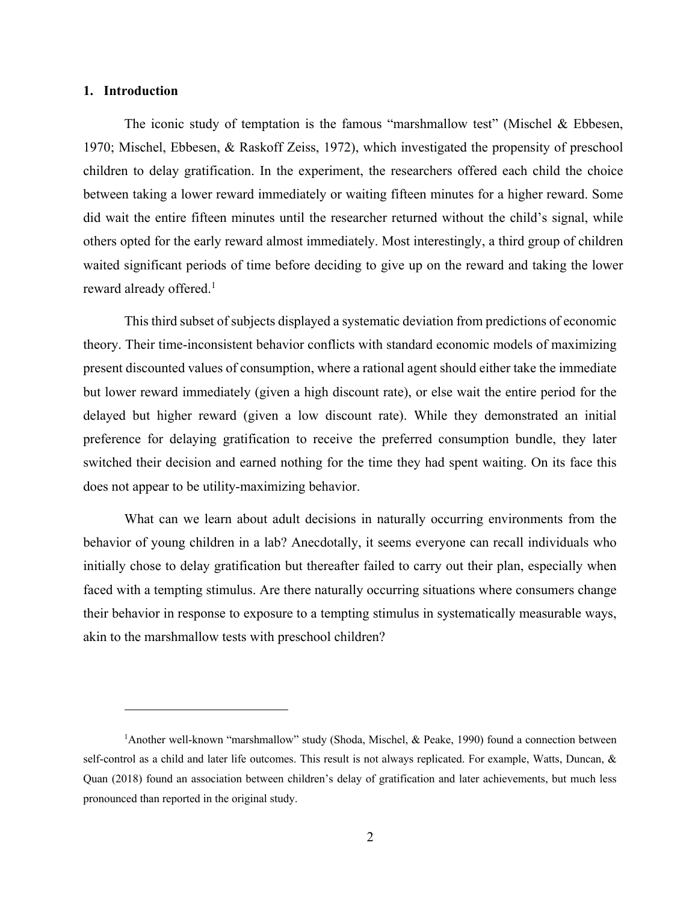## **1. Introduction**

The iconic study of temptation is the famous "marshmallow test" (Mischel & Ebbesen, 1970; Mischel, Ebbesen, & Raskoff Zeiss, 1972), which investigated the propensity of preschool children to delay gratification. In the experiment, the researchers offered each child the choice between taking a lower reward immediately or waiting fifteen minutes for a higher reward. Some did wait the entire fifteen minutes until the researcher returned without the child's signal, while others opted for the early reward almost immediately. Most interestingly, a third group of children waited significant periods of time before deciding to give up on the reward and taking the lower reward already offered.<sup>1</sup>

This third subset of subjects displayed a systematic deviation from predictions of economic theory. Their time-inconsistent behavior conflicts with standard economic models of maximizing present discounted values of consumption, where a rational agent should either take the immediate but lower reward immediately (given a high discount rate), or else wait the entire period for the delayed but higher reward (given a low discount rate). While they demonstrated an initial preference for delaying gratification to receive the preferred consumption bundle, they later switched their decision and earned nothing for the time they had spent waiting. On its face this does not appear to be utility-maximizing behavior.

What can we learn about adult decisions in naturally occurring environments from the behavior of young children in a lab? Anecdotally, it seems everyone can recall individuals who initially chose to delay gratification but thereafter failed to carry out their plan, especially when faced with a tempting stimulus. Are there naturally occurring situations where consumers change their behavior in response to exposure to a tempting stimulus in systematically measurable ways, akin to the marshmallow tests with preschool children?

<sup>&</sup>lt;sup>1</sup>Another well-known "marshmallow" study (Shoda, Mischel, & Peake, 1990) found a connection between self-control as a child and later life outcomes. This result is not always replicated. For example, Watts, Duncan, & Quan (2018) found an association between children's delay of gratification and later achievements, but much less pronounced than reported in the original study.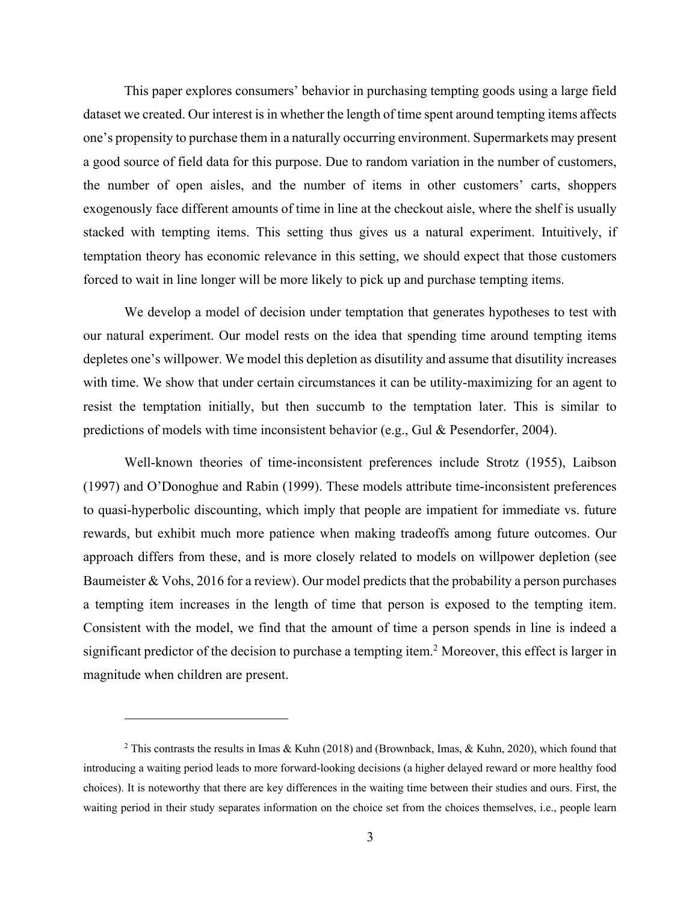This paper explores consumers' behavior in purchasing tempting goods using a large field dataset we created. Our interest is in whether the length of time spent around tempting items affects one's propensity to purchase them in a naturally occurring environment. Supermarkets may present a good source of field data for this purpose. Due to random variation in the number of customers, the number of open aisles, and the number of items in other customers' carts, shoppers exogenously face different amounts of time in line at the checkout aisle, where the shelf is usually stacked with tempting items. This setting thus gives us a natural experiment. Intuitively, if temptation theory has economic relevance in this setting, we should expect that those customers forced to wait in line longer will be more likely to pick up and purchase tempting items.

We develop a model of decision under temptation that generates hypotheses to test with our natural experiment. Our model rests on the idea that spending time around tempting items depletes one's willpower. We model this depletion as disutility and assume that disutility increases with time. We show that under certain circumstances it can be utility-maximizing for an agent to resist the temptation initially, but then succumb to the temptation later. This is similar to predictions of models with time inconsistent behavior (e.g., Gul & Pesendorfer, 2004).

Well-known theories of time-inconsistent preferences include Strotz (1955), Laibson (1997) and O'Donoghue and Rabin (1999). These models attribute time-inconsistent preferences to quasi-hyperbolic discounting, which imply that people are impatient for immediate vs. future rewards, but exhibit much more patience when making tradeoffs among future outcomes. Our approach differs from these, and is more closely related to models on willpower depletion (see Baumeister & Vohs, 2016 for a review). Our model predicts that the probability a person purchases a tempting item increases in the length of time that person is exposed to the tempting item. Consistent with the model, we find that the amount of time a person spends in line is indeed a significant predictor of the decision to purchase a tempting item. <sup>2</sup> Moreover, this effect is larger in magnitude when children are present.

<sup>&</sup>lt;sup>2</sup> This contrasts the results in Imas & Kuhn (2018) and (Brownback, Imas, & Kuhn, 2020), which found that introducing a waiting period leads to more forward-looking decisions (a higher delayed reward or more healthy food choices). It is noteworthy that there are key differences in the waiting time between their studies and ours. First, the waiting period in their study separates information on the choice set from the choices themselves, i.e., people learn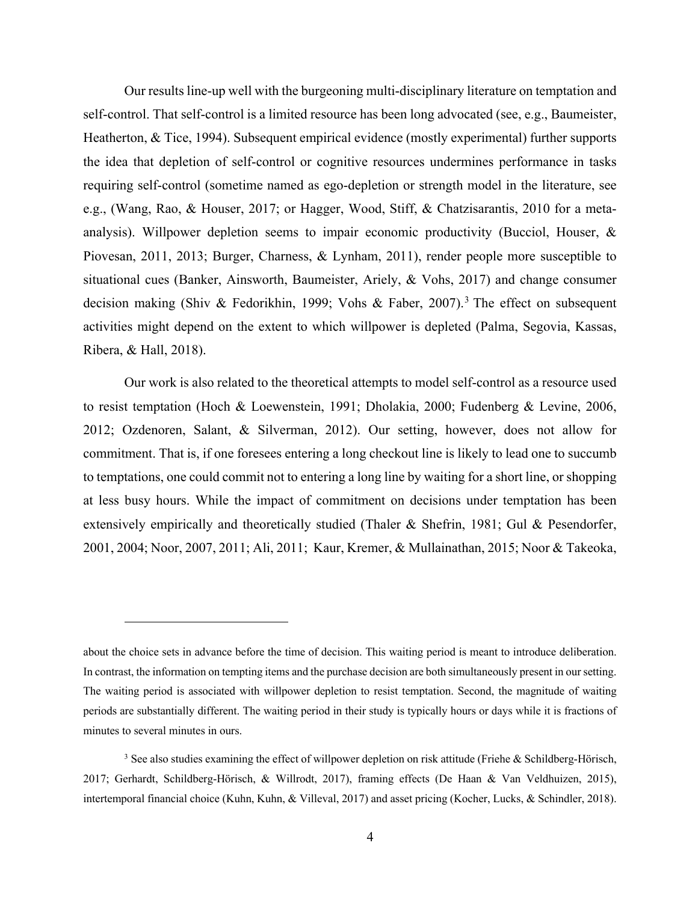Our results line-up well with the burgeoning multi-disciplinary literature on temptation and self-control. That self-control is a limited resource has been long advocated (see, e.g., Baumeister, Heatherton, & Tice, 1994). Subsequent empirical evidence (mostly experimental) further supports the idea that depletion of self-control or cognitive resources undermines performance in tasks requiring self-control (sometime named as ego-depletion or strength model in the literature, see e.g., (Wang, Rao, & Houser, 2017; or Hagger, Wood, Stiff, & Chatzisarantis, 2010 for a metaanalysis). Willpower depletion seems to impair economic productivity (Bucciol, Houser, & Piovesan, 2011, 2013; Burger, Charness, & Lynham, 2011), render people more susceptible to situational cues (Banker, Ainsworth, Baumeister, Ariely, & Vohs, 2017) and change consumer decision making (Shiv & Fedorikhin, 1999; Vohs & Faber, 2007).<sup>3</sup> The effect on subsequent activities might depend on the extent to which willpower is depleted (Palma, Segovia, Kassas, Ribera, & Hall, 2018).

Our work is also related to the theoretical attempts to model self-control as a resource used to resist temptation (Hoch & Loewenstein, 1991; Dholakia, 2000; Fudenberg & Levine, 2006, 2012; Ozdenoren, Salant, & Silverman, 2012). Our setting, however, does not allow for commitment. That is, if one foresees entering a long checkout line is likely to lead one to succumb to temptations, one could commit not to entering a long line by waiting for a short line, or shopping at less busy hours. While the impact of commitment on decisions under temptation has been extensively empirically and theoretically studied (Thaler & Shefrin, 1981; Gul & Pesendorfer, 2001, 2004; Noor, 2007, 2011; Ali, 2011; Kaur, Kremer, & Mullainathan, 2015; Noor & Takeoka,

about the choice sets in advance before the time of decision. This waiting period is meant to introduce deliberation. In contrast, the information on tempting items and the purchase decision are both simultaneously present in our setting. The waiting period is associated with willpower depletion to resist temptation. Second, the magnitude of waiting periods are substantially different. The waiting period in their study is typically hours or days while it is fractions of minutes to several minutes in ours.

<sup>&</sup>lt;sup>3</sup> See also studies examining the effect of willpower depletion on risk attitude (Friehe & Schildberg-Hörisch, 2017; Gerhardt, Schildberg-Hörisch, & Willrodt, 2017), framing effects (De Haan & Van Veldhuizen, 2015), intertemporal financial choice (Kuhn, Kuhn, & Villeval, 2017) and asset pricing (Kocher, Lucks, & Schindler, 2018).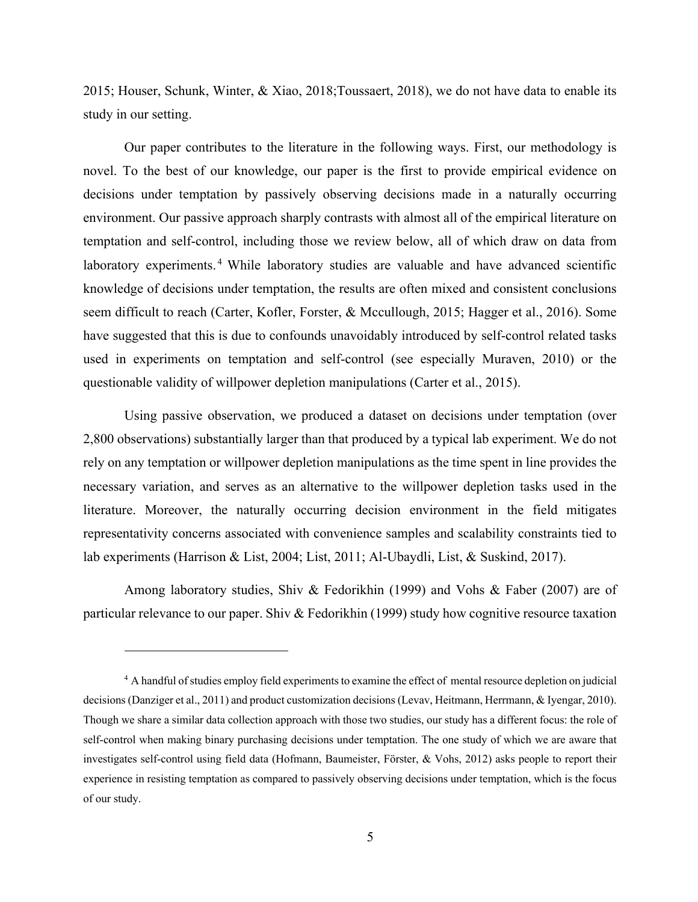2015; Houser, Schunk, Winter, & Xiao, 2018;Toussaert, 2018), we do not have data to enable its study in our setting.

Our paper contributes to the literature in the following ways. First, our methodology is novel. To the best of our knowledge, our paper is the first to provide empirical evidence on decisions under temptation by passively observing decisions made in a naturally occurring environment. Our passive approach sharply contrasts with almost all of the empirical literature on temptation and self-control, including those we review below, all of which draw on data from laboratory experiments.<sup>4</sup> While laboratory studies are valuable and have advanced scientific knowledge of decisions under temptation, the results are often mixed and consistent conclusions seem difficult to reach (Carter, Kofler, Forster, & Mccullough, 2015; Hagger et al., 2016). Some have suggested that this is due to confounds unavoidably introduced by self-control related tasks used in experiments on temptation and self-control (see especially Muraven, 2010) or the questionable validity of willpower depletion manipulations (Carter et al., 2015).

Using passive observation, we produced a dataset on decisions under temptation (over 2,800 observations) substantially larger than that produced by a typical lab experiment. We do not rely on any temptation or willpower depletion manipulations as the time spent in line provides the necessary variation, and serves as an alternative to the willpower depletion tasks used in the literature. Moreover, the naturally occurring decision environment in the field mitigates representativity concerns associated with convenience samples and scalability constraints tied to lab experiments (Harrison & List, 2004; List, 2011; Al-Ubaydli, List, & Suskind, 2017).

Among laboratory studies, Shiv & Fedorikhin (1999) and Vohs & Faber (2007) are of particular relevance to our paper. Shiv & Fedorikhin (1999) study how cognitive resource taxation

<sup>&</sup>lt;sup>4</sup> A handful of studies employ field experiments to examine the effect of mental resource depletion on judicial decisions (Danziger et al., 2011) and product customization decisions(Levav, Heitmann, Herrmann, & Iyengar, 2010). Though we share a similar data collection approach with those two studies, our study has a different focus: the role of self-control when making binary purchasing decisions under temptation. The one study of which we are aware that investigates self-control using field data (Hofmann, Baumeister, Förster, & Vohs, 2012) asks people to report their experience in resisting temptation as compared to passively observing decisions under temptation, which is the focus of our study.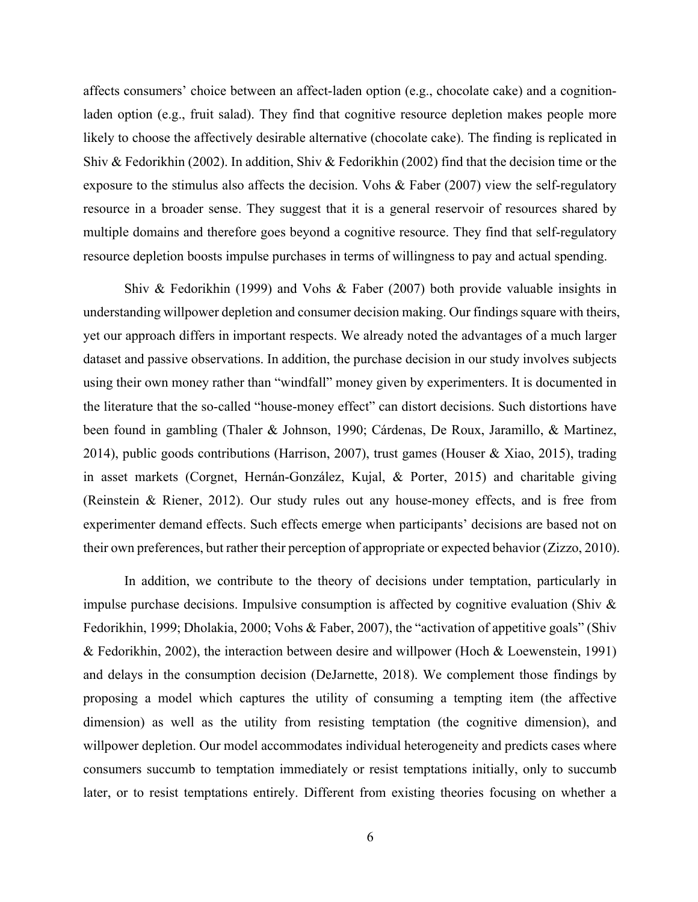affects consumers' choice between an affect-laden option (e.g., chocolate cake) and a cognitionladen option (e.g., fruit salad). They find that cognitive resource depletion makes people more likely to choose the affectively desirable alternative (chocolate cake). The finding is replicated in Shiv & Fedorikhin (2002). In addition, Shiv & Fedorikhin (2002) find that the decision time or the exposure to the stimulus also affects the decision. Vohs & Faber (2007) view the self-regulatory resource in a broader sense. They suggest that it is a general reservoir of resources shared by multiple domains and therefore goes beyond a cognitive resource. They find that self-regulatory resource depletion boosts impulse purchases in terms of willingness to pay and actual spending.

Shiv & Fedorikhin (1999) and Vohs & Faber (2007) both provide valuable insights in understanding willpower depletion and consumer decision making. Our findings square with theirs, yet our approach differs in important respects. We already noted the advantages of a much larger dataset and passive observations. In addition, the purchase decision in our study involves subjects using their own money rather than "windfall" money given by experimenters. It is documented in the literature that the so-called "house-money effect" can distort decisions. Such distortions have been found in gambling (Thaler & Johnson, 1990; Cárdenas, De Roux, Jaramillo, & Martinez, 2014), public goods contributions (Harrison, 2007), trust games (Houser & Xiao, 2015), trading in asset markets (Corgnet, Hernán-González, Kujal, & Porter, 2015) and charitable giving (Reinstein & Riener, 2012). Our study rules out any house-money effects, and is free from experimenter demand effects. Such effects emerge when participants' decisions are based not on their own preferences, but rather their perception of appropriate or expected behavior (Zizzo, 2010).

In addition, we contribute to the theory of decisions under temptation, particularly in impulse purchase decisions. Impulsive consumption is affected by cognitive evaluation (Shiv  $\&$ Fedorikhin, 1999; Dholakia, 2000; Vohs & Faber, 2007), the "activation of appetitive goals" (Shiv & Fedorikhin, 2002), the interaction between desire and willpower (Hoch & Loewenstein, 1991) and delays in the consumption decision (DeJarnette, 2018). We complement those findings by proposing a model which captures the utility of consuming a tempting item (the affective dimension) as well as the utility from resisting temptation (the cognitive dimension), and willpower depletion. Our model accommodates individual heterogeneity and predicts cases where consumers succumb to temptation immediately or resist temptations initially, only to succumb later, or to resist temptations entirely. Different from existing theories focusing on whether a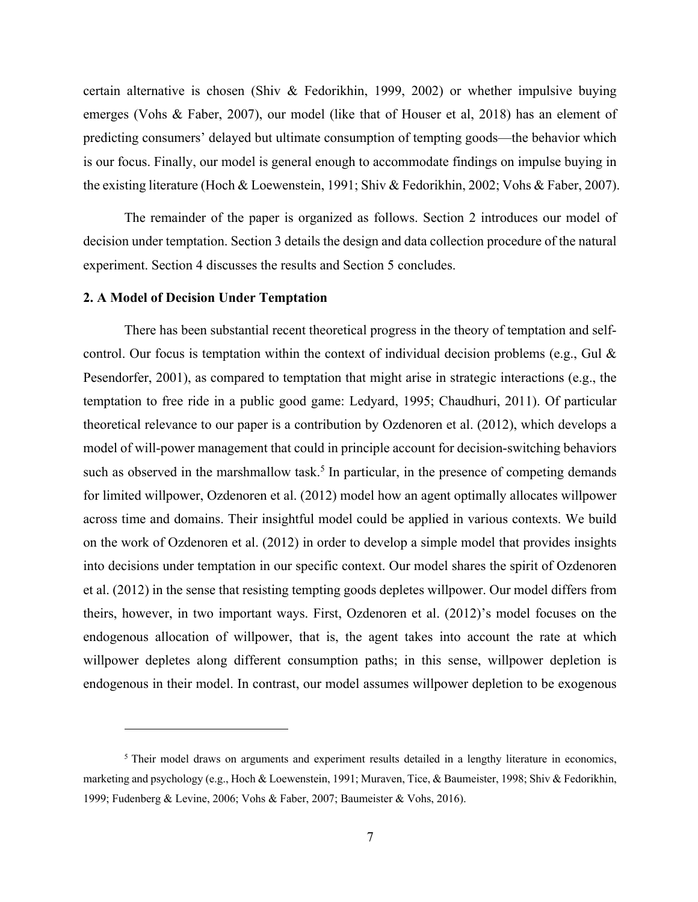certain alternative is chosen (Shiv & Fedorikhin, 1999, 2002) or whether impulsive buying emerges (Vohs & Faber, 2007), our model (like that of Houser et al, 2018) has an element of predicting consumers' delayed but ultimate consumption of tempting goods—the behavior which is our focus. Finally, our model is general enough to accommodate findings on impulse buying in the existing literature (Hoch & Loewenstein, 1991; Shiv & Fedorikhin, 2002; Vohs & Faber, 2007).

The remainder of the paper is organized as follows. Section 2 introduces our model of decision under temptation. Section 3 details the design and data collection procedure of the natural experiment. Section 4 discusses the results and Section 5 concludes.

#### **2. A Model of Decision Under Temptation**

There has been substantial recent theoretical progress in the theory of temptation and selfcontrol. Our focus is temptation within the context of individual decision problems (e.g., Gul  $\&$ Pesendorfer, 2001), as compared to temptation that might arise in strategic interactions (e.g., the temptation to free ride in a public good game: Ledyard, 1995; Chaudhuri, 2011). Of particular theoretical relevance to our paper is a contribution by Ozdenoren et al. (2012), which develops a model of will-power management that could in principle account for decision-switching behaviors such as observed in the marshmallow task.<sup>5</sup> In particular, in the presence of competing demands for limited willpower, Ozdenoren et al. (2012) model how an agent optimally allocates willpower across time and domains. Their insightful model could be applied in various contexts. We build on the work of Ozdenoren et al. (2012) in order to develop a simple model that provides insights into decisions under temptation in our specific context. Our model shares the spirit of Ozdenoren et al. (2012) in the sense that resisting tempting goods depletes willpower. Our model differs from theirs, however, in two important ways. First, Ozdenoren et al. (2012)'s model focuses on the endogenous allocation of willpower, that is, the agent takes into account the rate at which willpower depletes along different consumption paths; in this sense, willpower depletion is endogenous in their model. In contrast, our model assumes willpower depletion to be exogenous

<sup>&</sup>lt;sup>5</sup> Their model draws on arguments and experiment results detailed in a lengthy literature in economics, marketing and psychology (e.g., Hoch & Loewenstein, 1991; Muraven, Tice, & Baumeister, 1998; Shiv & Fedorikhin, 1999; Fudenberg & Levine, 2006; Vohs & Faber, 2007; Baumeister & Vohs, 2016).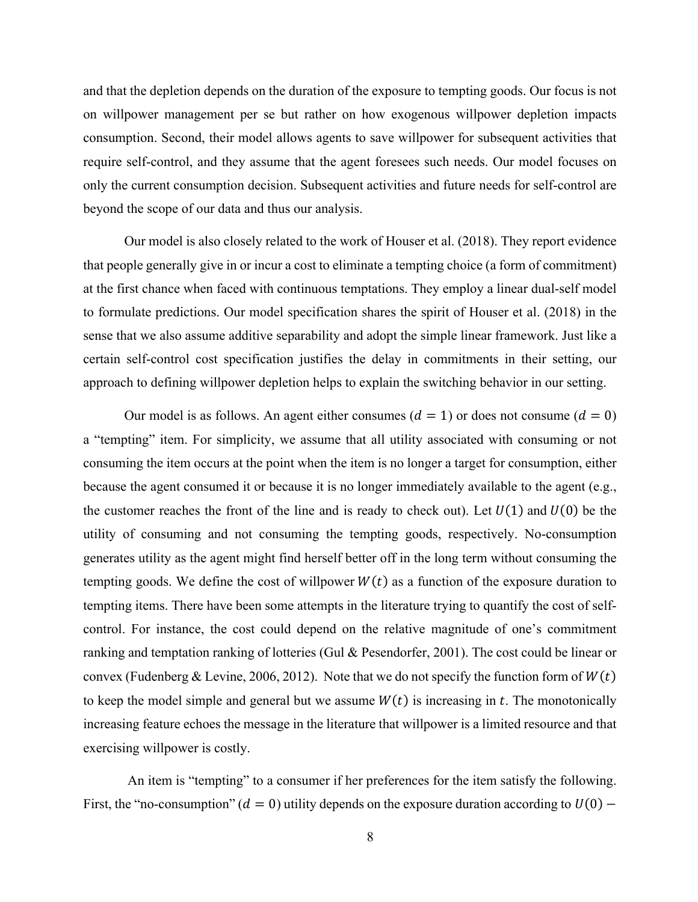and that the depletion depends on the duration of the exposure to tempting goods. Our focus is not on willpower management per se but rather on how exogenous willpower depletion impacts consumption. Second, their model allows agents to save willpower for subsequent activities that require self-control, and they assume that the agent foresees such needs. Our model focuses on only the current consumption decision. Subsequent activities and future needs for self-control are beyond the scope of our data and thus our analysis.

Our model is also closely related to the work of Houser et al. (2018). They report evidence that people generally give in or incur a cost to eliminate a tempting choice (a form of commitment) at the first chance when faced with continuous temptations. They employ a linear dual-self model to formulate predictions. Our model specification shares the spirit of Houser et al. (2018) in the sense that we also assume additive separability and adopt the simple linear framework. Just like a certain self-control cost specification justifies the delay in commitments in their setting, our approach to defining willpower depletion helps to explain the switching behavior in our setting.

Our model is as follows. An agent either consumes  $(d = 1)$  or does not consume  $(d = 0)$ a "tempting" item. For simplicity, we assume that all utility associated with consuming or not consuming the item occurs at the point when the item is no longer a target for consumption, either because the agent consumed it or because it is no longer immediately available to the agent (e.g., the customer reaches the front of the line and is ready to check out). Let  $U(1)$  and  $U(0)$  be the utility of consuming and not consuming the tempting goods, respectively. No-consumption generates utility as the agent might find herself better off in the long term without consuming the tempting goods. We define the cost of willpower  $W(t)$  as a function of the exposure duration to tempting items. There have been some attempts in the literature trying to quantify the cost of selfcontrol. For instance, the cost could depend on the relative magnitude of one's commitment ranking and temptation ranking of lotteries (Gul & Pesendorfer, 2001). The cost could be linear or convex (Fudenberg & Levine, 2006, 2012). Note that we do not specify the function form of  $W(t)$ to keep the model simple and general but we assume  $W(t)$  is increasing in t. The monotonically increasing feature echoes the message in the literature that willpower is a limited resource and that exercising willpower is costly.

An item is "tempting" to a consumer if her preferences for the item satisfy the following. First, the "no-consumption" ( $d = 0$ ) utility depends on the exposure duration according to  $U(0)$  –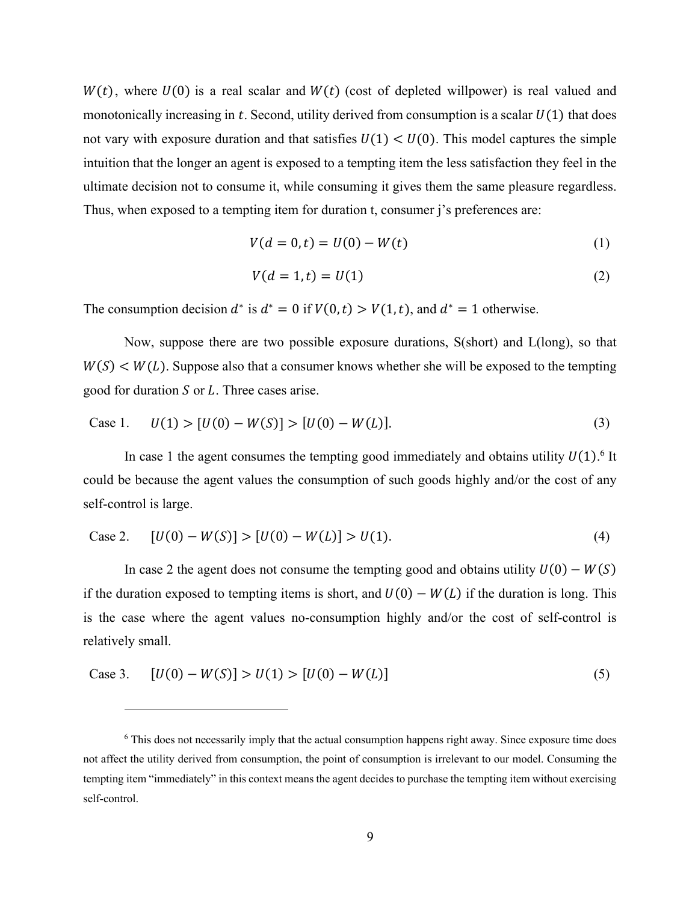$W(t)$ , where  $U(0)$  is a real scalar and  $W(t)$  (cost of depleted willpower) is real valued and monotonically increasing in  $t$ . Second, utility derived from consumption is a scalar  $U(1)$  that does not vary with exposure duration and that satisfies  $U(1) < U(0)$ . This model captures the simple intuition that the longer an agent is exposed to a tempting item the less satisfaction they feel in the ultimate decision not to consume it, while consuming it gives them the same pleasure regardless. Thus, when exposed to a tempting item for duration t, consumer j's preferences are:

$$
V(d = 0, t) = U(0) - W(t)
$$
\n(1)

$$
V(d=1,t)=U(1) \tag{2}
$$

The consumption decision  $d^*$  is  $d^* = 0$  if  $V(0,t) > V(1,t)$ , and  $d^* = 1$  otherwise.

Now, suppose there are two possible exposure durations, S(short) and L(long), so that  $W(S) \lt W(L)$ . Suppose also that a consumer knows whether she will be exposed to the tempting good for duration  $S$  or  $L$ . Three cases arise.

Case 1. 
$$
U(1) > [U(0) - W(S)] > [U(0) - W(L)].
$$
 (3)

In case 1 the agent consumes the tempting good immediately and obtains utility  $U(1)$ .<sup>6</sup> It could be because the agent values the consumption of such goods highly and/or the cost of any self-control is large.

Case 2. 
$$
[U(0) - W(S)] > [U(0) - W(L)] > U(1).
$$
 (4)

In case 2 the agent does not consume the tempting good and obtains utility  $U(0) - W(S)$ if the duration exposed to tempting items is short, and  $U(0) - W(L)$  if the duration is long. This is the case where the agent values no-consumption highly and/or the cost of self-control is relatively small.

Case 3. 
$$
[U(0) - W(S)] > U(1) > [U(0) - W(L)]
$$
 (5)

<sup>&</sup>lt;sup>6</sup> This does not necessarily imply that the actual consumption happens right away. Since exposure time does not affect the utility derived from consumption, the point of consumption is irrelevant to our model. Consuming the tempting item "immediately" in this context means the agent decides to purchase the tempting item without exercising self-control.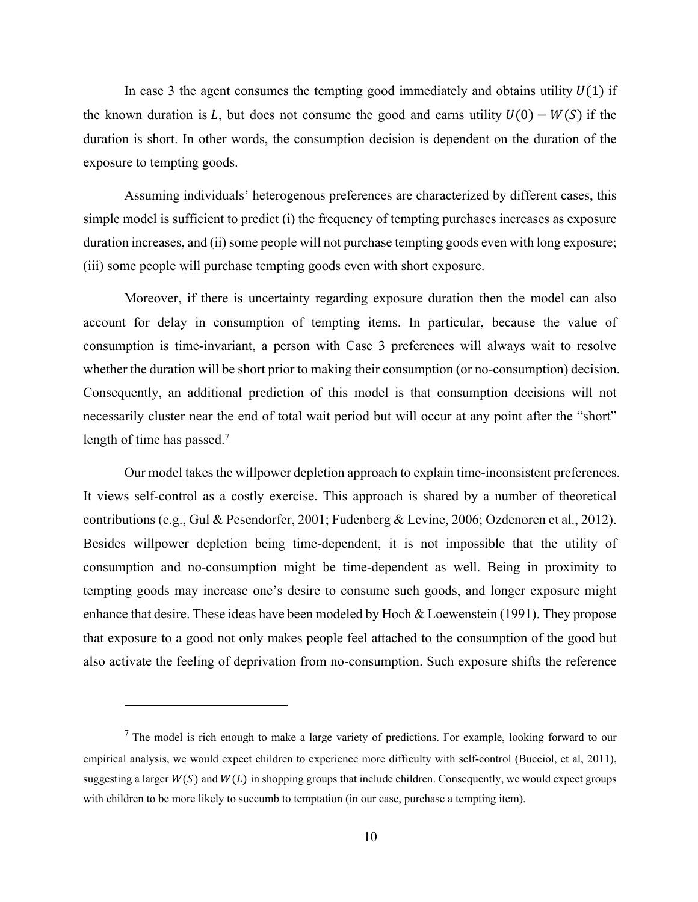In case 3 the agent consumes the tempting good immediately and obtains utility  $U(1)$  if the known duration is L, but does not consume the good and earns utility  $U(0) - W(S)$  if the duration is short. In other words, the consumption decision is dependent on the duration of the exposure to tempting goods.

Assuming individuals' heterogenous preferences are characterized by different cases, this simple model is sufficient to predict (i) the frequency of tempting purchases increases as exposure duration increases, and (ii) some people will not purchase tempting goods even with long exposure; (iii) some people will purchase tempting goods even with short exposure.

Moreover, if there is uncertainty regarding exposure duration then the model can also account for delay in consumption of tempting items. In particular, because the value of consumption is time-invariant, a person with Case 3 preferences will always wait to resolve whether the duration will be short prior to making their consumption (or no-consumption) decision. Consequently, an additional prediction of this model is that consumption decisions will not necessarily cluster near the end of total wait period but will occur at any point after the "short" length of time has passed.<sup>7</sup>

Our model takes the willpower depletion approach to explain time-inconsistent preferences. It views self-control as a costly exercise. This approach is shared by a number of theoretical contributions (e.g., Gul & Pesendorfer, 2001; Fudenberg & Levine, 2006; Ozdenoren et al., 2012). Besides willpower depletion being time-dependent, it is not impossible that the utility of consumption and no-consumption might be time-dependent as well. Being in proximity to tempting goods may increase one's desire to consume such goods, and longer exposure might enhance that desire. These ideas have been modeled by Hoch & Loewenstein (1991). They propose that exposure to a good not only makes people feel attached to the consumption of the good but also activate the feeling of deprivation from no-consumption. Such exposure shifts the reference

 $7$  The model is rich enough to make a large variety of predictions. For example, looking forward to our empirical analysis, we would expect children to experience more difficulty with self-control (Bucciol, et al, 2011), suggesting a larger  $W(S)$  and  $W(L)$  in shopping groups that include children. Consequently, we would expect groups with children to be more likely to succumb to temptation (in our case, purchase a tempting item).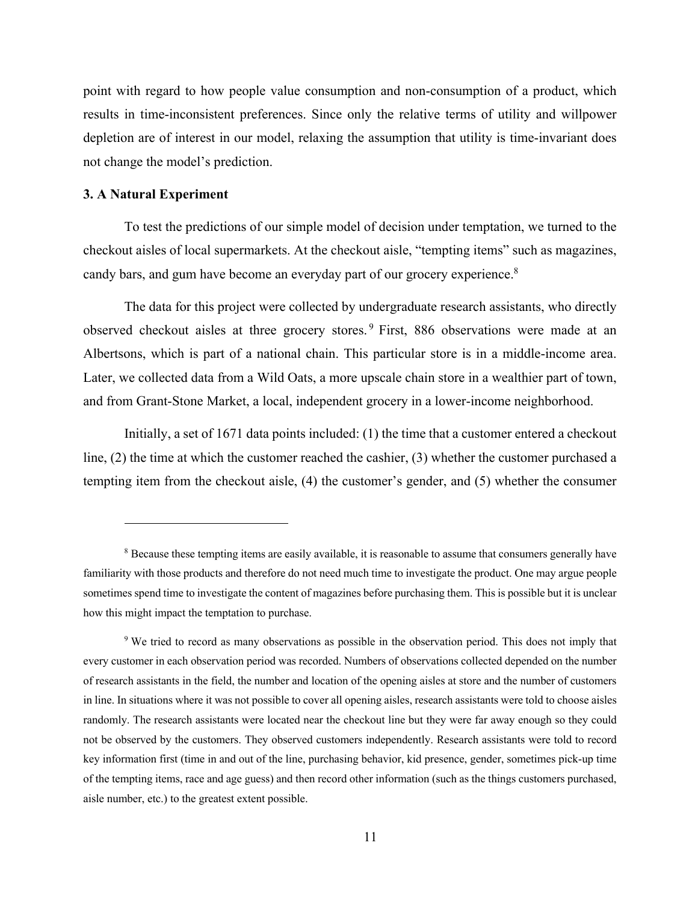point with regard to how people value consumption and non-consumption of a product, which results in time-inconsistent preferences. Since only the relative terms of utility and willpower depletion are of interest in our model, relaxing the assumption that utility is time-invariant does not change the model's prediction.

## **3. A Natural Experiment**

To test the predictions of our simple model of decision under temptation, we turned to the checkout aisles of local supermarkets. At the checkout aisle, "tempting items" such as magazines, candy bars, and gum have become an everyday part of our grocery experience.<sup>8</sup>

The data for this project were collected by undergraduate research assistants, who directly observed checkout aisles at three grocery stores. <sup>9</sup> First, 886 observations were made at an Albertsons, which is part of a national chain. This particular store is in a middle-income area. Later, we collected data from a Wild Oats, a more upscale chain store in a wealthier part of town, and from Grant-Stone Market, a local, independent grocery in a lower-income neighborhood.

Initially, a set of 1671 data points included: (1) the time that a customer entered a checkout line, (2) the time at which the customer reached the cashier, (3) whether the customer purchased a tempting item from the checkout aisle, (4) the customer's gender, and (5) whether the consumer

<sup>&</sup>lt;sup>8</sup> Because these tempting items are easily available, it is reasonable to assume that consumers generally have familiarity with those products and therefore do not need much time to investigate the product. One may argue people sometimes spend time to investigate the content of magazines before purchasing them. This is possible but it is unclear how this might impact the temptation to purchase.

<sup>9</sup> We tried to record as many observations as possible in the observation period. This does not imply that every customer in each observation period was recorded. Numbers of observations collected depended on the number of research assistants in the field, the number and location of the opening aisles at store and the number of customers in line. In situations where it was not possible to cover all opening aisles, research assistants were told to choose aisles randomly. The research assistants were located near the checkout line but they were far away enough so they could not be observed by the customers. They observed customers independently. Research assistants were told to record key information first (time in and out of the line, purchasing behavior, kid presence, gender, sometimes pick-up time of the tempting items, race and age guess) and then record other information (such as the things customers purchased, aisle number, etc.) to the greatest extent possible.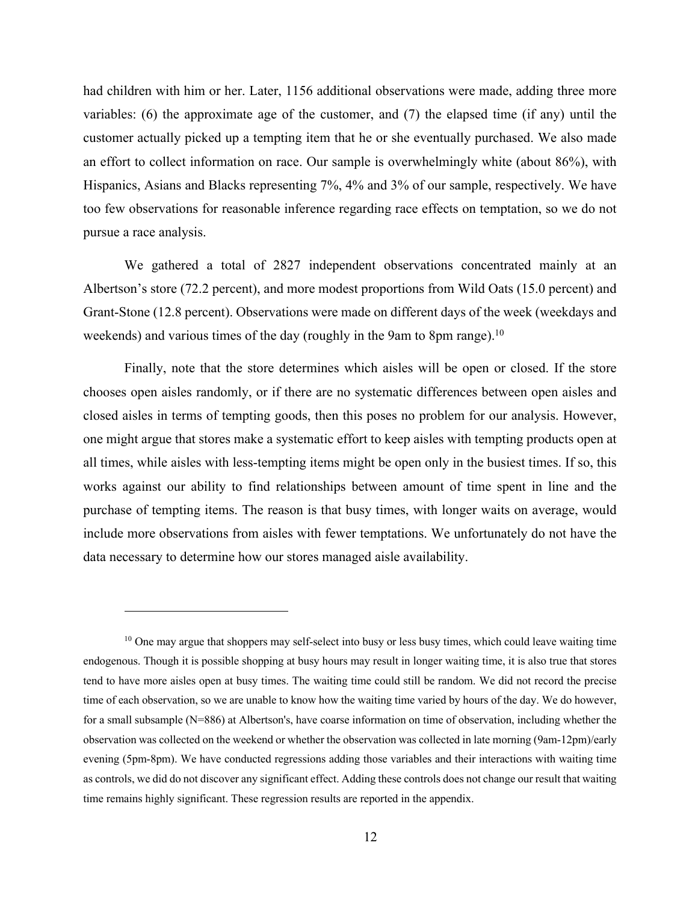had children with him or her. Later, 1156 additional observations were made, adding three more variables: (6) the approximate age of the customer, and (7) the elapsed time (if any) until the customer actually picked up a tempting item that he or she eventually purchased. We also made an effort to collect information on race. Our sample is overwhelmingly white (about 86%), with Hispanics, Asians and Blacks representing 7%, 4% and 3% of our sample, respectively. We have too few observations for reasonable inference regarding race effects on temptation, so we do not pursue a race analysis.

We gathered a total of 2827 independent observations concentrated mainly at an Albertson's store (72.2 percent), and more modest proportions from Wild Oats (15.0 percent) and Grant-Stone (12.8 percent). Observations were made on different days of the week (weekdays and weekends) and various times of the day (roughly in the 9am to 8pm range).<sup>10</sup>

Finally, note that the store determines which aisles will be open or closed. If the store chooses open aisles randomly, or if there are no systematic differences between open aisles and closed aisles in terms of tempting goods, then this poses no problem for our analysis. However, one might argue that stores make a systematic effort to keep aisles with tempting products open at all times, while aisles with less-tempting items might be open only in the busiest times. If so, this works against our ability to find relationships between amount of time spent in line and the purchase of tempting items. The reason is that busy times, with longer waits on average, would include more observations from aisles with fewer temptations. We unfortunately do not have the data necessary to determine how our stores managed aisle availability.

 $10$  One may argue that shoppers may self-select into busy or less busy times, which could leave waiting time endogenous. Though it is possible shopping at busy hours may result in longer waiting time, it is also true that stores tend to have more aisles open at busy times. The waiting time could still be random. We did not record the precise time of each observation, so we are unable to know how the waiting time varied by hours of the day. We do however, for a small subsample (N=886) at Albertson's, have coarse information on time of observation, including whether the observation was collected on the weekend or whether the observation was collected in late morning (9am-12pm)/early evening (5pm-8pm). We have conducted regressions adding those variables and their interactions with waiting time as controls, we did do not discover any significant effect. Adding these controls does not change our result that waiting time remains highly significant. These regression results are reported in the appendix.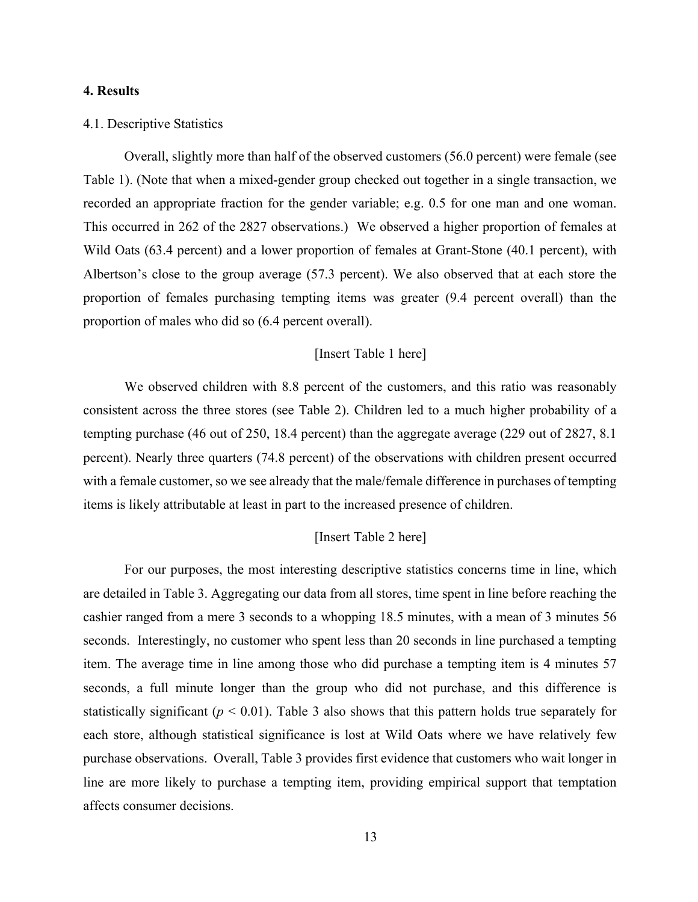## **4. Results**

#### 4.1. Descriptive Statistics

Overall, slightly more than half of the observed customers (56.0 percent) were female (see Table 1). (Note that when a mixed-gender group checked out together in a single transaction, we recorded an appropriate fraction for the gender variable; e.g. 0.5 for one man and one woman. This occurred in 262 of the 2827 observations.) We observed a higher proportion of females at Wild Oats (63.4 percent) and a lower proportion of females at Grant-Stone (40.1 percent), with Albertson's close to the group average (57.3 percent). We also observed that at each store the proportion of females purchasing tempting items was greater (9.4 percent overall) than the proportion of males who did so (6.4 percent overall).

## [Insert Table 1 here]

We observed children with 8.8 percent of the customers, and this ratio was reasonably consistent across the three stores (see Table 2). Children led to a much higher probability of a tempting purchase (46 out of 250, 18.4 percent) than the aggregate average (229 out of 2827, 8.1 percent). Nearly three quarters (74.8 percent) of the observations with children present occurred with a female customer, so we see already that the male/female difference in purchases of tempting items is likely attributable at least in part to the increased presence of children.

## [Insert Table 2 here]

For our purposes, the most interesting descriptive statistics concerns time in line, which are detailed in Table 3. Aggregating our data from all stores, time spent in line before reaching the cashier ranged from a mere 3 seconds to a whopping 18.5 minutes, with a mean of 3 minutes 56 seconds. Interestingly, no customer who spent less than 20 seconds in line purchased a tempting item. The average time in line among those who did purchase a tempting item is 4 minutes 57 seconds, a full minute longer than the group who did not purchase, and this difference is statistically significant ( $p < 0.01$ ). Table 3 also shows that this pattern holds true separately for each store, although statistical significance is lost at Wild Oats where we have relatively few purchase observations. Overall, Table 3 provides first evidence that customers who wait longer in line are more likely to purchase a tempting item, providing empirical support that temptation affects consumer decisions.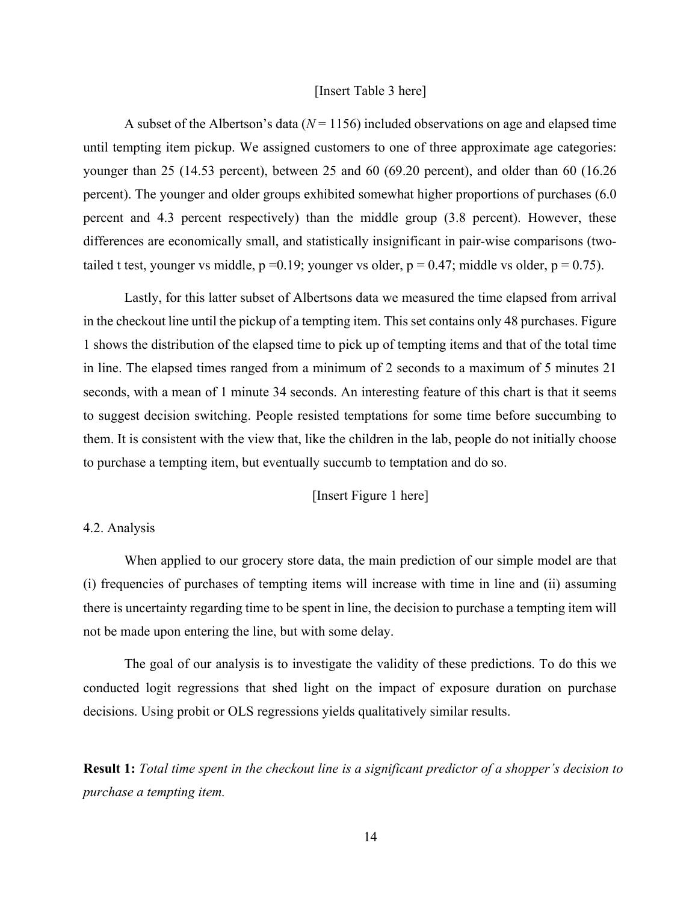#### [Insert Table 3 here]

A subset of the Albertson's data  $(N = 1156)$  included observations on age and elapsed time until tempting item pickup. We assigned customers to one of three approximate age categories: younger than 25 (14.53 percent), between 25 and 60 (69.20 percent), and older than 60 (16.26 percent). The younger and older groups exhibited somewhat higher proportions of purchases (6.0 percent and 4.3 percent respectively) than the middle group (3.8 percent). However, these differences are economically small, and statistically insignificant in pair-wise comparisons (twotailed t test, younger vs middle,  $p = 0.19$ ; younger vs older,  $p = 0.47$ ; middle vs older,  $p = 0.75$ ).

Lastly, for this latter subset of Albertsons data we measured the time elapsed from arrival in the checkout line until the pickup of a tempting item. This set contains only 48 purchases. Figure 1 shows the distribution of the elapsed time to pick up of tempting items and that of the total time in line. The elapsed times ranged from a minimum of 2 seconds to a maximum of 5 minutes 21 seconds, with a mean of 1 minute 34 seconds. An interesting feature of this chart is that it seems to suggest decision switching. People resisted temptations for some time before succumbing to them. It is consistent with the view that, like the children in the lab, people do not initially choose to purchase a tempting item, but eventually succumb to temptation and do so.

## [Insert Figure 1 here]

## 4.2. Analysis

When applied to our grocery store data, the main prediction of our simple model are that (i) frequencies of purchases of tempting items will increase with time in line and (ii) assuming there is uncertainty regarding time to be spent in line, the decision to purchase a tempting item will not be made upon entering the line, but with some delay.

The goal of our analysis is to investigate the validity of these predictions. To do this we conducted logit regressions that shed light on the impact of exposure duration on purchase decisions. Using probit or OLS regressions yields qualitatively similar results.

**Result 1:** *Total time spent in the checkout line is a significant predictor of a shopper's decision to purchase a tempting item.*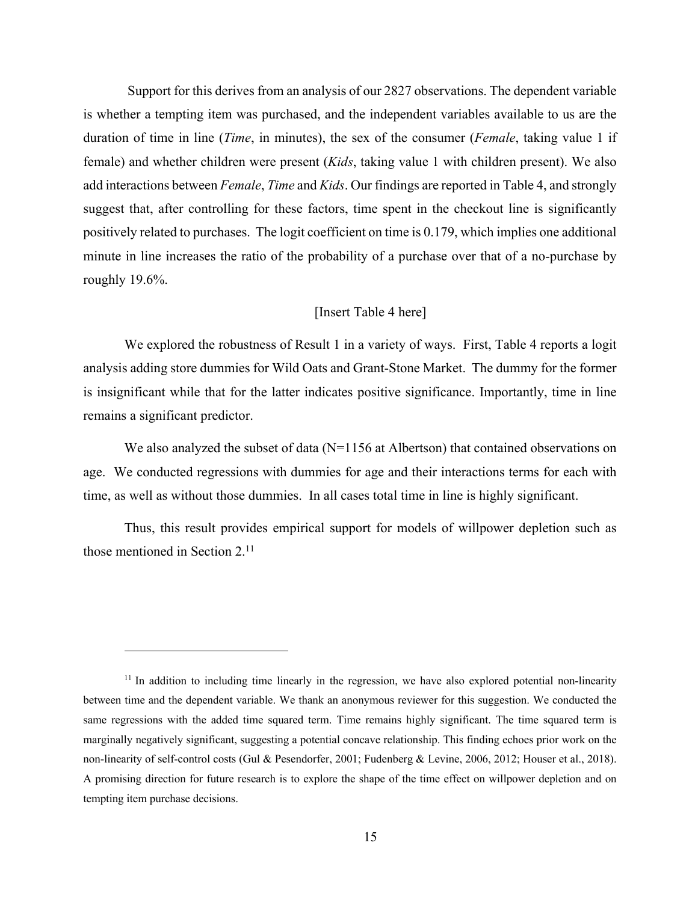Support for this derives from an analysis of our 2827 observations. The dependent variable is whether a tempting item was purchased, and the independent variables available to us are the duration of time in line (*Time*, in minutes), the sex of the consumer (*Female*, taking value 1 if female) and whether children were present (*Kids*, taking value 1 with children present). We also add interactions between *Female*, *Time* and *Kids*. Our findings are reported in Table 4, and strongly suggest that, after controlling for these factors, time spent in the checkout line is significantly positively related to purchases. The logit coefficient on time is 0.179, which implies one additional minute in line increases the ratio of the probability of a purchase over that of a no-purchase by roughly 19.6%.

## [Insert Table 4 here]

We explored the robustness of Result 1 in a variety of ways. First, Table 4 reports a logit analysis adding store dummies for Wild Oats and Grant-Stone Market. The dummy for the former is insignificant while that for the latter indicates positive significance. Importantly, time in line remains a significant predictor.

We also analyzed the subset of data  $(N=1156$  at Albertson) that contained observations on age. We conducted regressions with dummies for age and their interactions terms for each with time, as well as without those dummies. In all cases total time in line is highly significant.

Thus, this result provides empirical support for models of willpower depletion such as those mentioned in Section 2. 11

<sup>&</sup>lt;sup>11</sup> In addition to including time linearly in the regression, we have also explored potential non-linearity between time and the dependent variable. We thank an anonymous reviewer for this suggestion. We conducted the same regressions with the added time squared term. Time remains highly significant. The time squared term is marginally negatively significant, suggesting a potential concave relationship. This finding echoes prior work on the non-linearity of self-control costs (Gul & Pesendorfer, 2001; Fudenberg & Levine, 2006, 2012; Houser et al., 2018). A promising direction for future research is to explore the shape of the time effect on willpower depletion and on tempting item purchase decisions.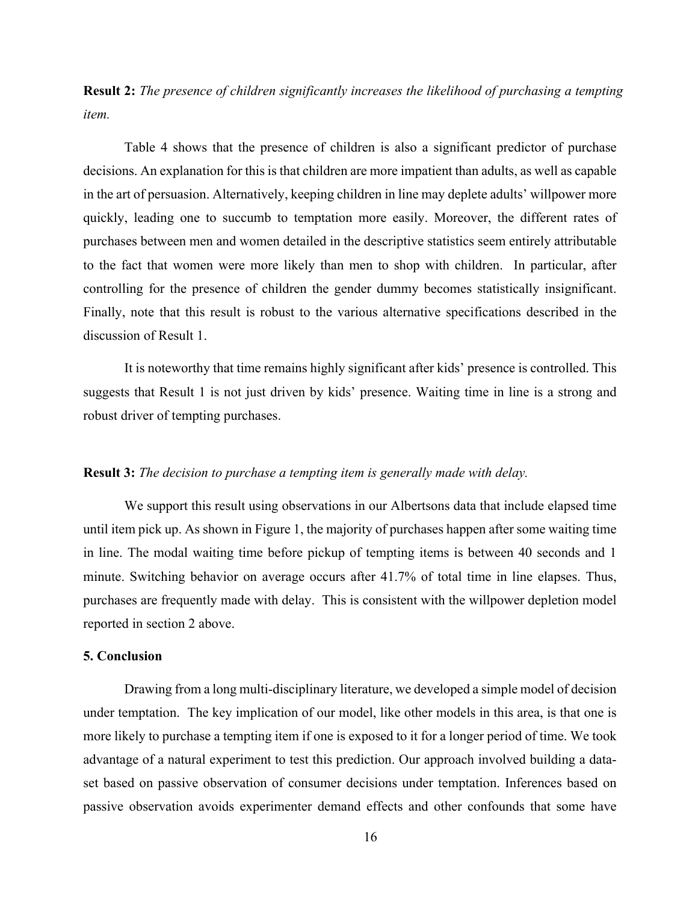**Result 2:** *The presence of children significantly increases the likelihood of purchasing a tempting item.*

Table 4 shows that the presence of children is also a significant predictor of purchase decisions. An explanation for this is that children are more impatient than adults, as well as capable in the art of persuasion. Alternatively, keeping children in line may deplete adults' willpower more quickly, leading one to succumb to temptation more easily. Moreover, the different rates of purchases between men and women detailed in the descriptive statistics seem entirely attributable to the fact that women were more likely than men to shop with children. In particular, after controlling for the presence of children the gender dummy becomes statistically insignificant. Finally, note that this result is robust to the various alternative specifications described in the discussion of Result 1.

It is noteworthy that time remains highly significant after kids' presence is controlled. This suggests that Result 1 is not just driven by kids' presence. Waiting time in line is a strong and robust driver of tempting purchases.

## **Result 3:** *The decision to purchase a tempting item is generally made with delay.*

We support this result using observations in our Albertsons data that include elapsed time until item pick up. As shown in Figure 1, the majority of purchases happen after some waiting time in line. The modal waiting time before pickup of tempting items is between 40 seconds and 1 minute. Switching behavior on average occurs after 41.7% of total time in line elapses. Thus, purchases are frequently made with delay. This is consistent with the willpower depletion model reported in section 2 above.

## **5. Conclusion**

Drawing from a long multi-disciplinary literature, we developed a simple model of decision under temptation. The key implication of our model, like other models in this area, is that one is more likely to purchase a tempting item if one is exposed to it for a longer period of time. We took advantage of a natural experiment to test this prediction. Our approach involved building a dataset based on passive observation of consumer decisions under temptation. Inferences based on passive observation avoids experimenter demand effects and other confounds that some have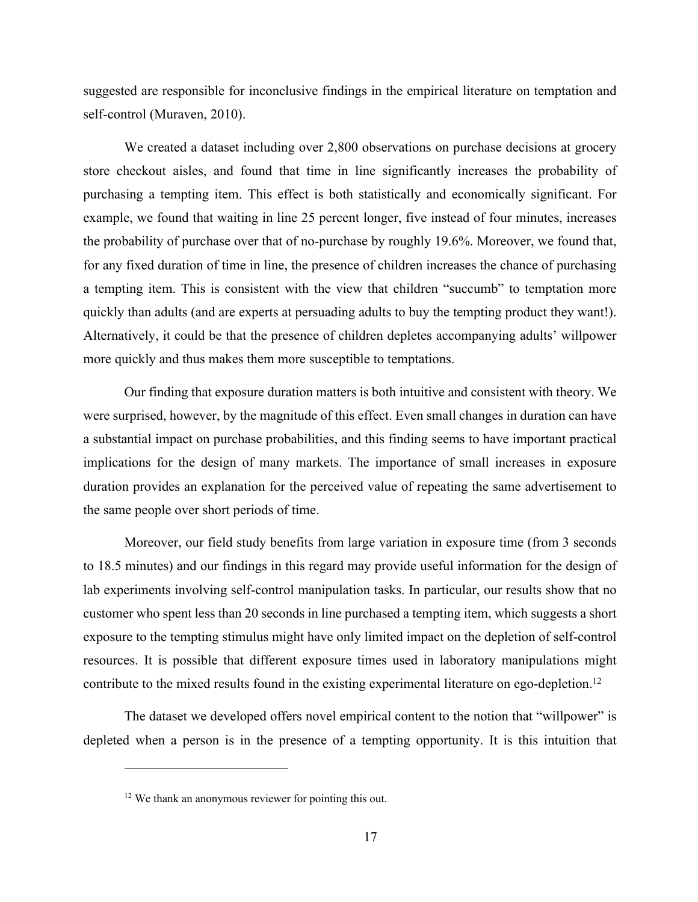suggested are responsible for inconclusive findings in the empirical literature on temptation and self-control (Muraven, 2010).

We created a dataset including over 2,800 observations on purchase decisions at grocery store checkout aisles, and found that time in line significantly increases the probability of purchasing a tempting item. This effect is both statistically and economically significant. For example, we found that waiting in line 25 percent longer, five instead of four minutes, increases the probability of purchase over that of no-purchase by roughly 19.6%. Moreover, we found that, for any fixed duration of time in line, the presence of children increases the chance of purchasing a tempting item. This is consistent with the view that children "succumb" to temptation more quickly than adults (and are experts at persuading adults to buy the tempting product they want!). Alternatively, it could be that the presence of children depletes accompanying adults' willpower more quickly and thus makes them more susceptible to temptations.

Our finding that exposure duration matters is both intuitive and consistent with theory. We were surprised, however, by the magnitude of this effect. Even small changes in duration can have a substantial impact on purchase probabilities, and this finding seems to have important practical implications for the design of many markets. The importance of small increases in exposure duration provides an explanation for the perceived value of repeating the same advertisement to the same people over short periods of time.

Moreover, our field study benefits from large variation in exposure time (from 3 seconds to 18.5 minutes) and our findings in this regard may provide useful information for the design of lab experiments involving self-control manipulation tasks. In particular, our results show that no customer who spent less than 20 seconds in line purchased a tempting item, which suggests a short exposure to the tempting stimulus might have only limited impact on the depletion of self-control resources. It is possible that different exposure times used in laboratory manipulations might contribute to the mixed results found in the existing experimental literature on ego-depletion.<sup>12</sup>

The dataset we developed offers novel empirical content to the notion that "willpower" is depleted when a person is in the presence of a tempting opportunity. It is this intuition that

<sup>&</sup>lt;sup>12</sup> We thank an anonymous reviewer for pointing this out.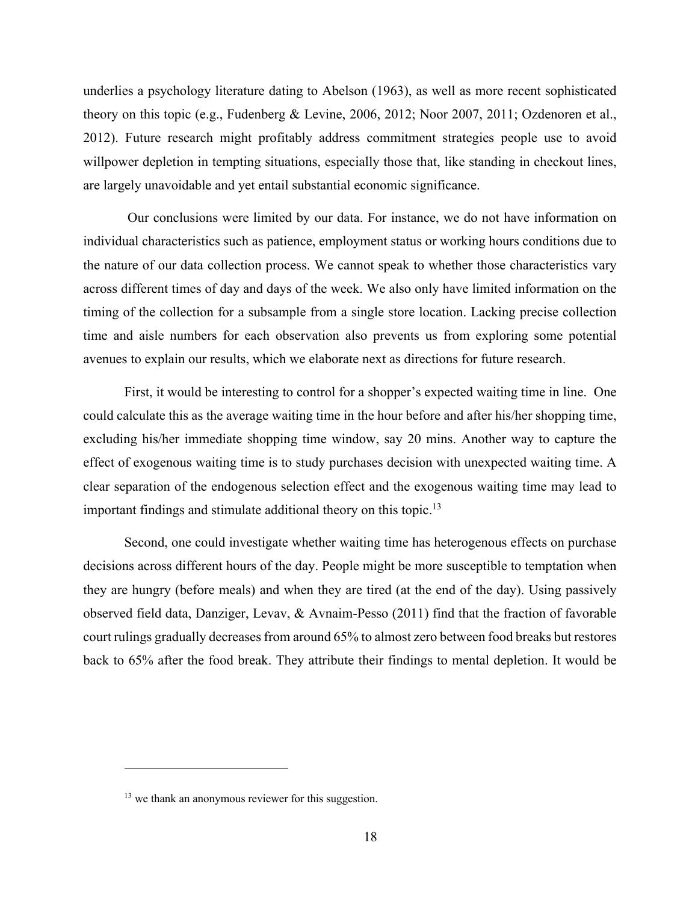underlies a psychology literature dating to Abelson (1963), as well as more recent sophisticated theory on this topic (e.g., Fudenberg & Levine, 2006, 2012; Noor 2007, 2011; Ozdenoren et al., 2012). Future research might profitably address commitment strategies people use to avoid willpower depletion in tempting situations, especially those that, like standing in checkout lines, are largely unavoidable and yet entail substantial economic significance.

Our conclusions were limited by our data. For instance, we do not have information on individual characteristics such as patience, employment status or working hours conditions due to the nature of our data collection process. We cannot speak to whether those characteristics vary across different times of day and days of the week. We also only have limited information on the timing of the collection for a subsample from a single store location. Lacking precise collection time and aisle numbers for each observation also prevents us from exploring some potential avenues to explain our results, which we elaborate next as directions for future research.

First, it would be interesting to control for a shopper's expected waiting time in line. One could calculate this as the average waiting time in the hour before and after his/her shopping time, excluding his/her immediate shopping time window, say 20 mins. Another way to capture the effect of exogenous waiting time is to study purchases decision with unexpected waiting time. A clear separation of the endogenous selection effect and the exogenous waiting time may lead to important findings and stimulate additional theory on this topic.<sup>13</sup>

Second, one could investigate whether waiting time has heterogenous effects on purchase decisions across different hours of the day. People might be more susceptible to temptation when they are hungry (before meals) and when they are tired (at the end of the day). Using passively observed field data, Danziger, Levav, & Avnaim-Pesso (2011) find that the fraction of favorable court rulings gradually decreases from around 65% to almost zero between food breaks but restores back to 65% after the food break. They attribute their findings to mental depletion. It would be

<sup>&</sup>lt;sup>13</sup> we thank an anonymous reviewer for this suggestion.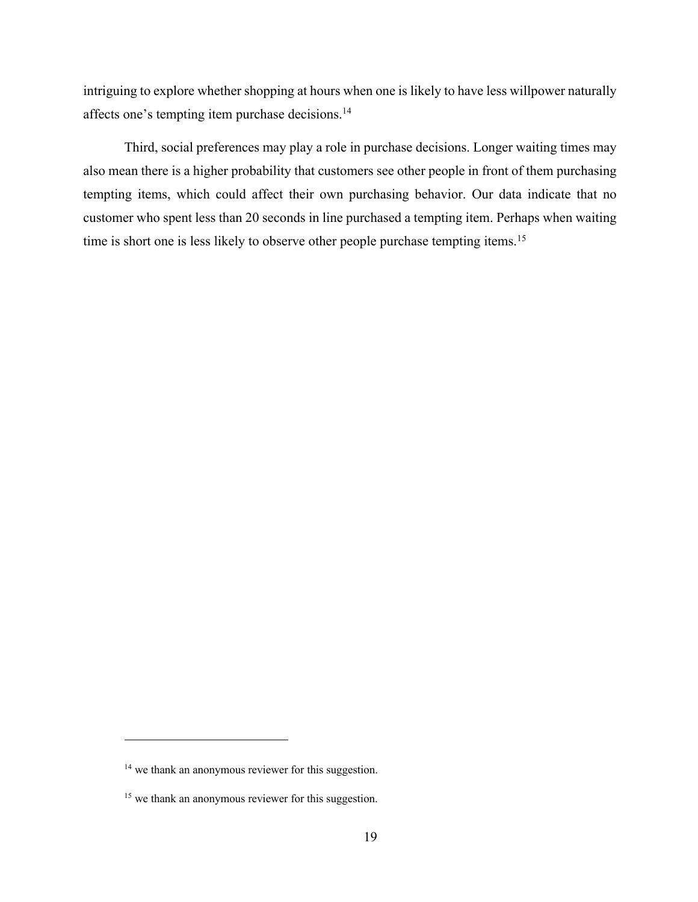intriguing to explore whether shopping at hours when one is likely to have less willpower naturally affects one's tempting item purchase decisions.<sup>14</sup>

Third, social preferences may play a role in purchase decisions. Longer waiting times may also mean there is a higher probability that customers see other people in front of them purchasing tempting items, which could affect their own purchasing behavior. Our data indicate that no customer who spent less than 20 seconds in line purchased a tempting item. Perhaps when waiting time is short one is less likely to observe other people purchase tempting items.<sup>15</sup>

<sup>&</sup>lt;sup>14</sup> we thank an anonymous reviewer for this suggestion.

<sup>&</sup>lt;sup>15</sup> we thank an anonymous reviewer for this suggestion.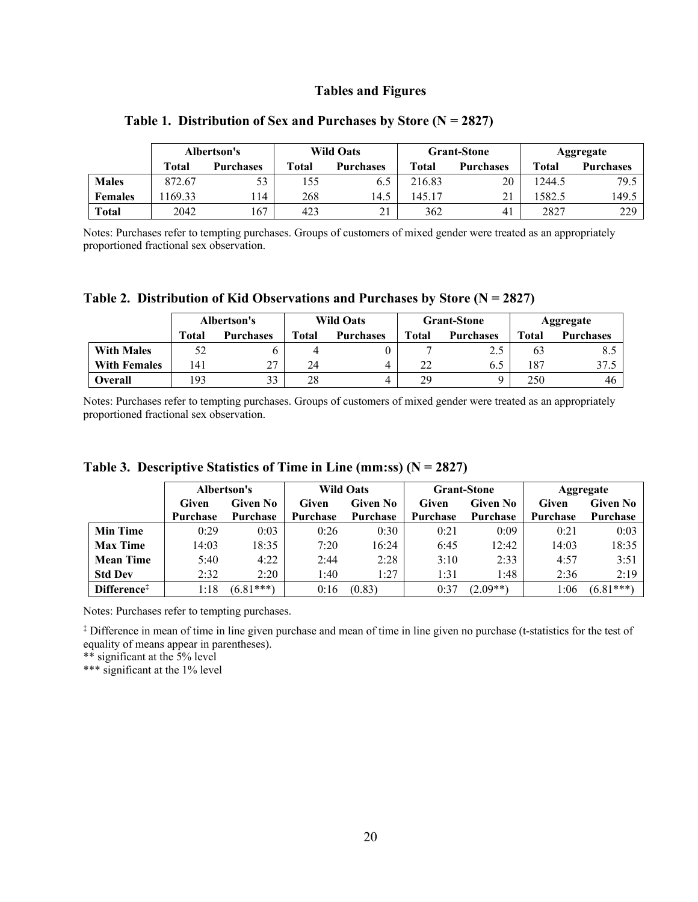## **Tables and Figures**

|                | Albertson's |                  | <b>Wild Oats</b> |                  | <b>Grant-Stone</b> |                  | Aggregate |                  |
|----------------|-------------|------------------|------------------|------------------|--------------------|------------------|-----------|------------------|
|                | Total       | <b>Purchases</b> | Total            | <b>Purchases</b> | Total              | <b>Purchases</b> | Total     | <b>Purchases</b> |
| <b>Males</b>   | 872.67      | 53               | 55ء              | 6.5              | 216.83             | 20               | 1244.5    | 79.5             |
| <b>Females</b> | 169.33      | 14               | 268              | 14.5             | 145.17             | 21               | 582.5     | 149.5            |
| Total          | 2042        | 167              | 423              | 21               | 362                | 41               | 2827      | 229              |

## **Table 1. Distribution of Sex and Purchases by Store (N = 2827)**

Notes: Purchases refer to tempting purchases. Groups of customers of mixed gender were treated as an appropriately proportioned fractional sex observation.

|  | Table 2. Distribution of Kid Observations and Purchases by Store ( $N = 2827$ ) |  |  |  |  |
|--|---------------------------------------------------------------------------------|--|--|--|--|
|--|---------------------------------------------------------------------------------|--|--|--|--|

|                     | Albertson's     |                  | <b>Wild Oats</b> |                  | <b>Grant-Stone</b> |                  | Aggregate |                  |
|---------------------|-----------------|------------------|------------------|------------------|--------------------|------------------|-----------|------------------|
|                     | Total           | <b>Purchases</b> | Total            | <b>Purchases</b> | <b>Total</b>       | <b>Purchases</b> | Total     | <b>Purchases</b> |
| <b>With Males</b>   | 52              |                  |                  |                  |                    | 2.5              | 63        | -8.5             |
| <b>With Females</b> | $\overline{41}$ | 27               | 24               | 4                | 22                 | 6.5              | 187       | 37.5             |
| Overall             | 93              | 33               | 28               | 4                | 29                 |                  | 250       | 46               |

Notes: Purchases refer to tempting purchases. Groups of customers of mixed gender were treated as an appropriately proportioned fractional sex observation.

**Table 3. Descriptive Statistics of Time in Line (mm:ss) (N = 2827)**

|                         | Albertson's       |             |                 | <b>Wild Oats</b> |                 | <b>Grant-Stone</b> |                 | <b>Aggregate</b> |  |
|-------------------------|-------------------|-------------|-----------------|------------------|-----------------|--------------------|-----------------|------------------|--|
|                         | Given No<br>Given |             | Given           | <b>Given No</b>  | Given           | Given No           | Given           | <b>Given No</b>  |  |
|                         | <b>Purchase</b>   | Purchase    | <b>Purchase</b> | Purchase         | <b>Purchase</b> | Purchase           | <b>Purchase</b> | <b>Purchase</b>  |  |
| <b>Min Time</b>         | 0:29              | 0:03        | 0:26            | 0:30             | 0:21            | 0:09               | 0:21            | 0:03             |  |
| <b>Max Time</b>         | 14:03             | 18:35       | 7:20            | 16:24            | 6:45            | 12:42              | 14:03           | 18:35            |  |
| <b>Mean Time</b>        | 5:40              | 4:22        | 2:44            | 2:28             | 3:10            | 2:33               | 4:57            | 3:51             |  |
| <b>Std Dev</b>          | 2:32              | 2:20        | 1:40            | 1:27             | 1:31            | 1:48               | 2:36            | 2:19             |  |
| Difference <sup>‡</sup> | 1:18              | $(6.81***)$ | 0:16            | (0.83)           | 0:37            | $(2.09**)$         | :06             | $(6.81***)$      |  |

Notes: Purchases refer to tempting purchases.

‡ Difference in mean of time in line given purchase and mean of time in line given no purchase (t-statistics for the test of equality of means appear in parentheses).

\*\* significant at the 5% level

\*\*\* significant at the 1% level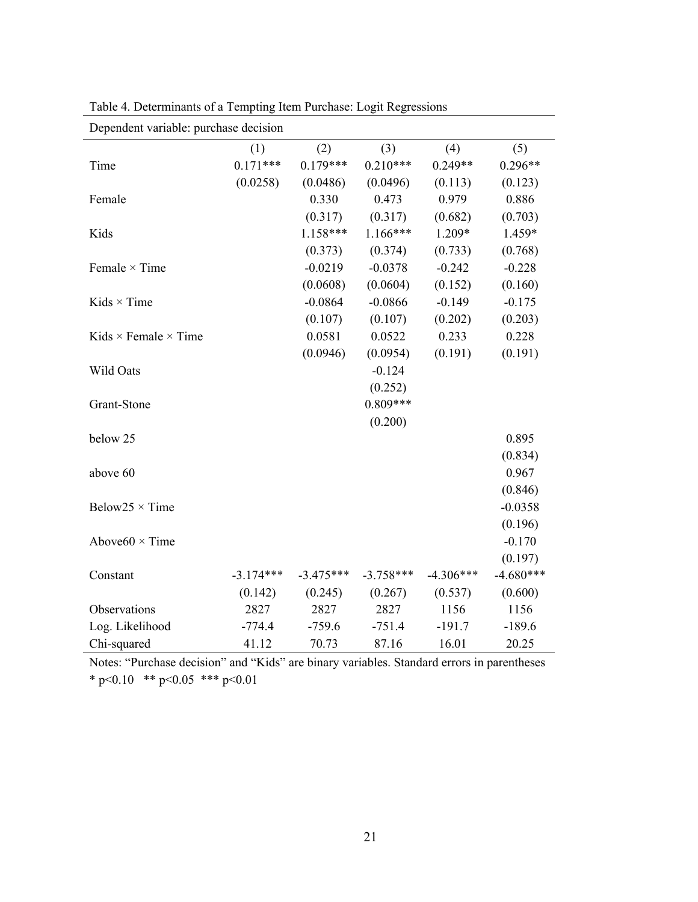| Dependent variable: purchase decision |             |             |             |             |             |  |  |  |
|---------------------------------------|-------------|-------------|-------------|-------------|-------------|--|--|--|
|                                       | (1)         | (2)         | (3)         | (4)         | (5)         |  |  |  |
| Time                                  | $0.171***$  | $0.179***$  | $0.210***$  | $0.249**$   | $0.296**$   |  |  |  |
|                                       | (0.0258)    | (0.0486)    | (0.0496)    | (0.113)     | (0.123)     |  |  |  |
| Female                                |             | 0.330       | 0.473       | 0.979       | 0.886       |  |  |  |
|                                       |             | (0.317)     | (0.317)     | (0.682)     | (0.703)     |  |  |  |
| Kids                                  |             | $1.158***$  | $1.166***$  | 1.209*      | 1.459*      |  |  |  |
|                                       |             | (0.373)     | (0.374)     | (0.733)     | (0.768)     |  |  |  |
| Female $\times$ Time                  |             | $-0.0219$   | $-0.0378$   | $-0.242$    | $-0.228$    |  |  |  |
|                                       |             | (0.0608)    | (0.0604)    | (0.152)     | (0.160)     |  |  |  |
| Kids $\times$ Time                    |             | $-0.0864$   | $-0.0866$   | $-0.149$    | $-0.175$    |  |  |  |
|                                       |             | (0.107)     | (0.107)     | (0.202)     | (0.203)     |  |  |  |
| Kids $\times$ Female $\times$ Time    |             | 0.0581      | 0.0522      | 0.233       | 0.228       |  |  |  |
|                                       |             | (0.0946)    | (0.0954)    | (0.191)     | (0.191)     |  |  |  |
| Wild Oats                             |             |             | $-0.124$    |             |             |  |  |  |
|                                       |             |             | (0.252)     |             |             |  |  |  |
| Grant-Stone                           |             |             | $0.809***$  |             |             |  |  |  |
|                                       |             |             | (0.200)     |             |             |  |  |  |
| below 25                              |             |             |             |             | 0.895       |  |  |  |
|                                       |             |             |             |             | (0.834)     |  |  |  |
| above 60                              |             |             |             |             | 0.967       |  |  |  |
|                                       |             |             |             |             | (0.846)     |  |  |  |
| Below25 $\times$ Time                 |             |             |             |             | $-0.0358$   |  |  |  |
|                                       |             |             |             |             | (0.196)     |  |  |  |
| Above $60 \times$ Time                |             |             |             |             | $-0.170$    |  |  |  |
|                                       |             |             |             |             | (0.197)     |  |  |  |
| Constant                              | $-3.174***$ | $-3.475***$ | $-3.758***$ | $-4.306***$ | $-4.680***$ |  |  |  |
|                                       | (0.142)     | (0.245)     | (0.267)     | (0.537)     | (0.600)     |  |  |  |
| Observations                          | 2827        | 2827        | 2827        | 1156        | 1156        |  |  |  |
| Log. Likelihood                       | $-774.4$    | $-759.6$    | $-751.4$    | $-191.7$    | $-189.6$    |  |  |  |
| Chi-squared                           | 41.12       | 70.73       | 87.16       | 16.01       | 20.25       |  |  |  |

Table 4. Determinants of a Tempting Item Purchase: Logit Regressions

Notes: "Purchase decision" and "Kids" are binary variables. Standard errors in parentheses \* p<0.10 \*\* p<0.05 \*\*\* p<0.01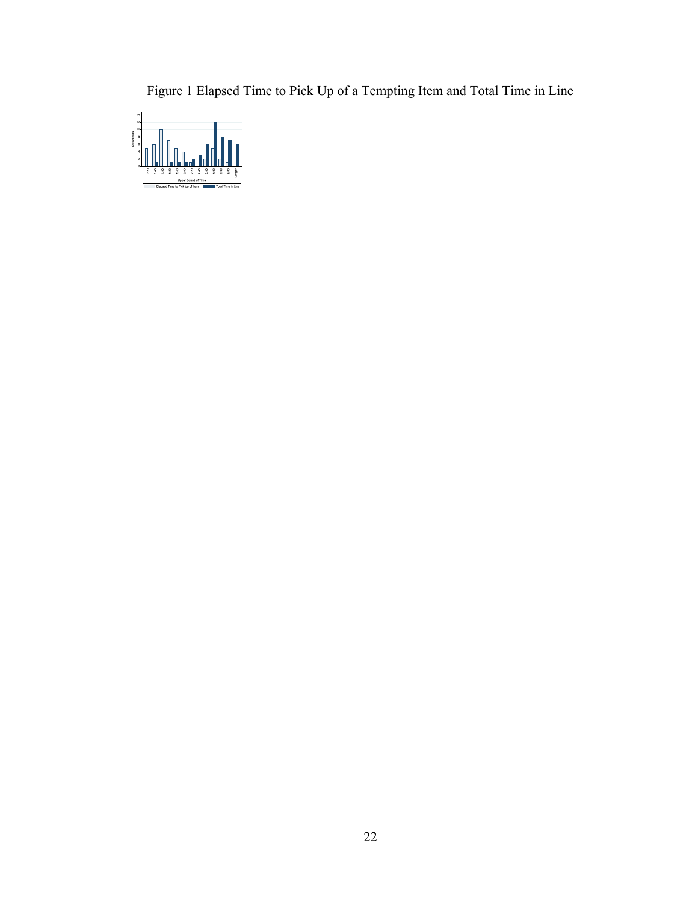Figure 1 Elapsed Time to Pick Up of a Tempting Item and Total Time in Line

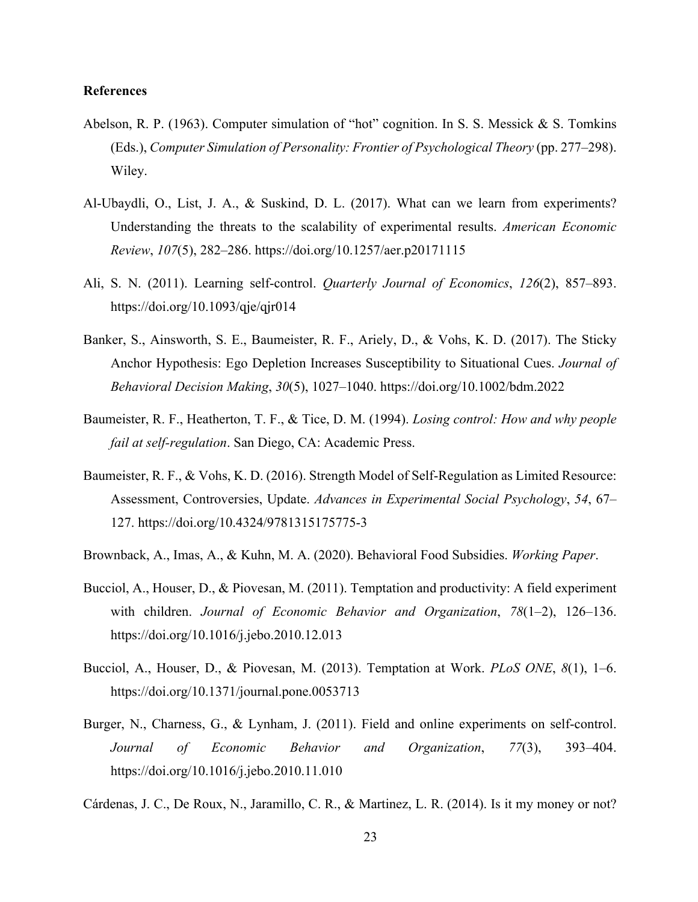## **References**

- Abelson, R. P. (1963). Computer simulation of "hot" cognition. In S. S. Messick & S. Tomkins (Eds.), *Computer Simulation of Personality: Frontier of Psychological Theory* (pp. 277–298). Wiley.
- Al-Ubaydli, O., List, J. A., & Suskind, D. L. (2017). What can we learn from experiments? Understanding the threats to the scalability of experimental results. *American Economic Review*, *107*(5), 282–286. https://doi.org/10.1257/aer.p20171115
- Ali, S. N. (2011). Learning self-control. *Quarterly Journal of Economics*, *126*(2), 857–893. https://doi.org/10.1093/qje/qjr014
- Banker, S., Ainsworth, S. E., Baumeister, R. F., Ariely, D., & Vohs, K. D. (2017). The Sticky Anchor Hypothesis: Ego Depletion Increases Susceptibility to Situational Cues. *Journal of Behavioral Decision Making*, *30*(5), 1027–1040. https://doi.org/10.1002/bdm.2022
- Baumeister, R. F., Heatherton, T. F., & Tice, D. M. (1994). *Losing control: How and why people fail at self-regulation*. San Diego, CA: Academic Press.
- Baumeister, R. F., & Vohs, K. D. (2016). Strength Model of Self-Regulation as Limited Resource: Assessment, Controversies, Update. *Advances in Experimental Social Psychology*, *54*, 67– 127. https://doi.org/10.4324/9781315175775-3
- Brownback, A., Imas, A., & Kuhn, M. A. (2020). Behavioral Food Subsidies. *Working Paper*.
- Bucciol, A., Houser, D., & Piovesan, M. (2011). Temptation and productivity: A field experiment with children. *Journal of Economic Behavior and Organization*, *78*(1–2), 126–136. https://doi.org/10.1016/j.jebo.2010.12.013
- Bucciol, A., Houser, D., & Piovesan, M. (2013). Temptation at Work. *PLoS ONE*, *8*(1), 1–6. https://doi.org/10.1371/journal.pone.0053713
- Burger, N., Charness, G., & Lynham, J. (2011). Field and online experiments on self-control. *Journal of Economic Behavior and Organization*, *77*(3), 393–404. https://doi.org/10.1016/j.jebo.2010.11.010
- Cárdenas, J. C., De Roux, N., Jaramillo, C. R., & Martinez, L. R. (2014). Is it my money or not?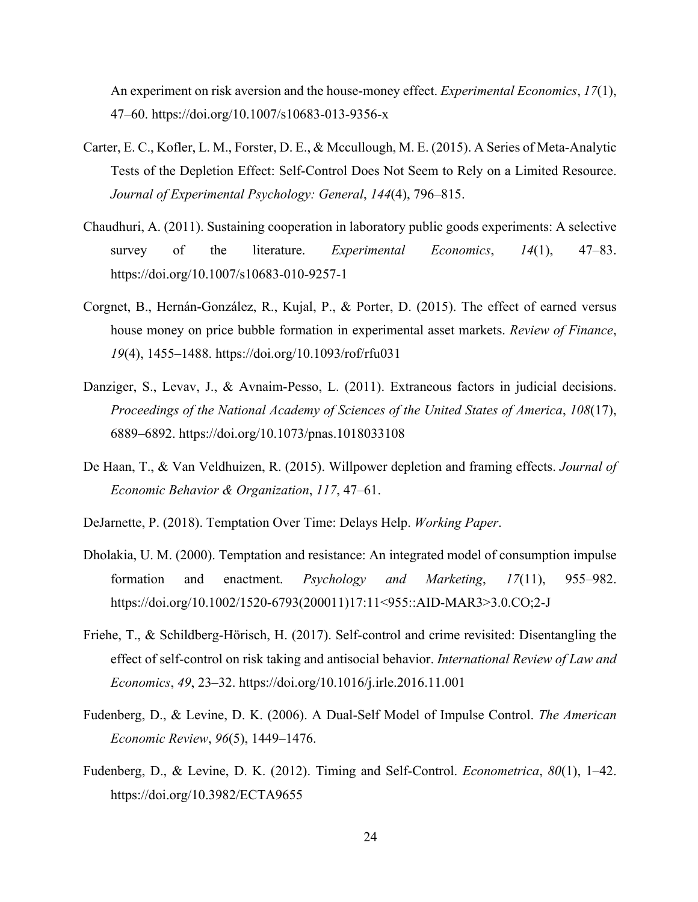An experiment on risk aversion and the house-money effect. *Experimental Economics*, *17*(1), 47–60. https://doi.org/10.1007/s10683-013-9356-x

- Carter, E. C., Kofler, L. M., Forster, D. E., & Mccullough, M. E. (2015). A Series of Meta-Analytic Tests of the Depletion Effect: Self-Control Does Not Seem to Rely on a Limited Resource. *Journal of Experimental Psychology: General*, *144*(4), 796–815.
- Chaudhuri, A. (2011). Sustaining cooperation in laboratory public goods experiments: A selective survey of the literature. *Experimental Economics*, *14*(1), 47–83. https://doi.org/10.1007/s10683-010-9257-1
- Corgnet, B., Hernán-González, R., Kujal, P., & Porter, D. (2015). The effect of earned versus house money on price bubble formation in experimental asset markets. *Review of Finance*, *19*(4), 1455–1488. https://doi.org/10.1093/rof/rfu031
- Danziger, S., Levav, J., & Avnaim-Pesso, L. (2011). Extraneous factors in judicial decisions. *Proceedings of the National Academy of Sciences of the United States of America*, *108*(17), 6889–6892. https://doi.org/10.1073/pnas.1018033108
- De Haan, T., & Van Veldhuizen, R. (2015). Willpower depletion and framing effects. *Journal of Economic Behavior & Organization*, *117*, 47–61.
- DeJarnette, P. (2018). Temptation Over Time: Delays Help. *Working Paper*.
- Dholakia, U. M. (2000). Temptation and resistance: An integrated model of consumption impulse formation and enactment. *Psychology and Marketing*, *17*(11), 955–982. https://doi.org/10.1002/1520-6793(200011)17:11<955::AID-MAR3>3.0.CO;2-J
- Friehe, T., & Schildberg-Hörisch, H. (2017). Self-control and crime revisited: Disentangling the effect of self-control on risk taking and antisocial behavior. *International Review of Law and Economics*, *49*, 23–32. https://doi.org/10.1016/j.irle.2016.11.001
- Fudenberg, D., & Levine, D. K. (2006). A Dual-Self Model of Impulse Control. *The American Economic Review*, *96*(5), 1449–1476.
- Fudenberg, D., & Levine, D. K. (2012). Timing and Self-Control. *Econometrica*, *80*(1), 1–42. https://doi.org/10.3982/ECTA9655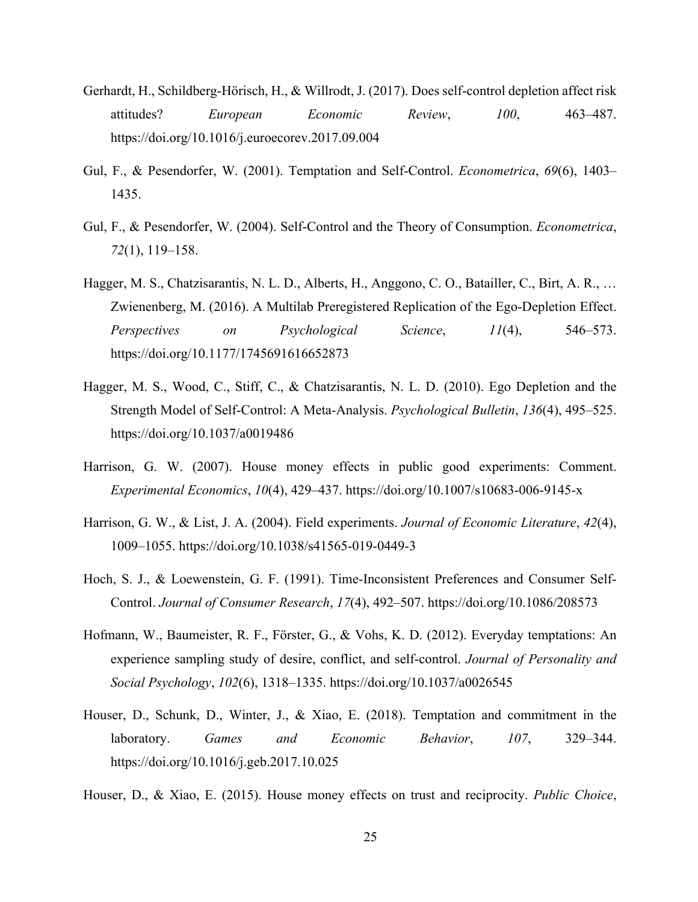- Gerhardt, H., Schildberg-Hörisch, H., & Willrodt, J. (2017). Does self-control depletion affect risk attitudes? *European Economic Review*, *100*, 463–487. https://doi.org/10.1016/j.euroecorev.2017.09.004
- Gul, F., & Pesendorfer, W. (2001). Temptation and Self-Control. *Econometrica*, *69*(6), 1403– 1435.
- Gul, F., & Pesendorfer, W. (2004). Self-Control and the Theory of Consumption. *Econometrica*, *72*(1), 119–158.
- Hagger, M. S., Chatzisarantis, N. L. D., Alberts, H., Anggono, C. O., Batailler, C., Birt, A. R., … Zwienenberg, M. (2016). A Multilab Preregistered Replication of the Ego-Depletion Effect. *Perspectives on Psychological Science*, *11*(4), 546–573. https://doi.org/10.1177/1745691616652873
- Hagger, M. S., Wood, C., Stiff, C., & Chatzisarantis, N. L. D. (2010). Ego Depletion and the Strength Model of Self-Control: A Meta-Analysis. *Psychological Bulletin*, *136*(4), 495–525. https://doi.org/10.1037/a0019486
- Harrison, G. W. (2007). House money effects in public good experiments: Comment. *Experimental Economics*, *10*(4), 429–437. https://doi.org/10.1007/s10683-006-9145-x
- Harrison, G. W., & List, J. A. (2004). Field experiments. *Journal of Economic Literature*, *42*(4), 1009–1055. https://doi.org/10.1038/s41565-019-0449-3
- Hoch, S. J., & Loewenstein, G. F. (1991). Time-Inconsistent Preferences and Consumer Self-Control. *Journal of Consumer Research*, *17*(4), 492–507. https://doi.org/10.1086/208573
- Hofmann, W., Baumeister, R. F., Förster, G., & Vohs, K. D. (2012). Everyday temptations: An experience sampling study of desire, conflict, and self-control. *Journal of Personality and Social Psychology*, *102*(6), 1318–1335. https://doi.org/10.1037/a0026545
- Houser, D., Schunk, D., Winter, J., & Xiao, E. (2018). Temptation and commitment in the laboratory. *Games and Economic Behavior*, *107*, 329–344. https://doi.org/10.1016/j.geb.2017.10.025
- Houser, D., & Xiao, E. (2015). House money effects on trust and reciprocity. *Public Choice*,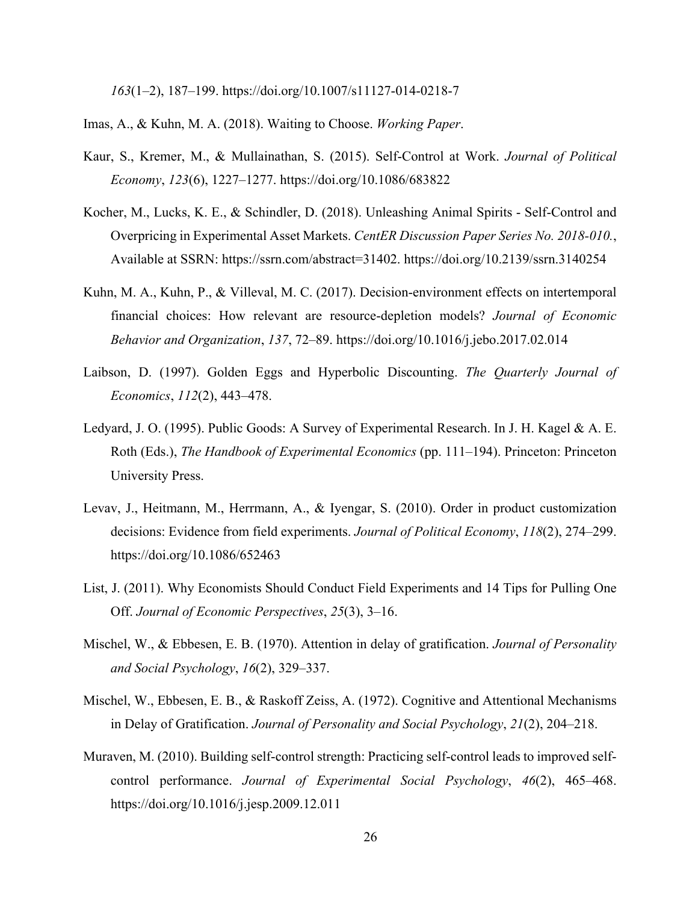*163*(1–2), 187–199. https://doi.org/10.1007/s11127-014-0218-7

Imas, A., & Kuhn, M. A. (2018). Waiting to Choose. *Working Paper*.

- Kaur, S., Kremer, M., & Mullainathan, S. (2015). Self-Control at Work. *Journal of Political Economy*, *123*(6), 1227–1277. https://doi.org/10.1086/683822
- Kocher, M., Lucks, K. E., & Schindler, D. (2018). Unleashing Animal Spirits Self-Control and Overpricing in Experimental Asset Markets. *CentER Discussion Paper Series No. 2018-010.*, Available at SSRN: https://ssrn.com/abstract=31402. https://doi.org/10.2139/ssrn.3140254
- Kuhn, M. A., Kuhn, P., & Villeval, M. C. (2017). Decision-environment effects on intertemporal financial choices: How relevant are resource-depletion models? *Journal of Economic Behavior and Organization*, *137*, 72–89. https://doi.org/10.1016/j.jebo.2017.02.014
- Laibson, D. (1997). Golden Eggs and Hyperbolic Discounting. *The Quarterly Journal of Economics*, *112*(2), 443–478.
- Ledyard, J. O. (1995). Public Goods: A Survey of Experimental Research. In J. H. Kagel & A. E. Roth (Eds.), *The Handbook of Experimental Economics* (pp. 111–194). Princeton: Princeton University Press.
- Levav, J., Heitmann, M., Herrmann, A., & Iyengar, S. (2010). Order in product customization decisions: Evidence from field experiments. *Journal of Political Economy*, *118*(2), 274–299. https://doi.org/10.1086/652463
- List, J. (2011). Why Economists Should Conduct Field Experiments and 14 Tips for Pulling One Off. *Journal of Economic Perspectives*, *25*(3), 3–16.
- Mischel, W., & Ebbesen, E. B. (1970). Attention in delay of gratification. *Journal of Personality and Social Psychology*, *16*(2), 329–337.
- Mischel, W., Ebbesen, E. B., & Raskoff Zeiss, A. (1972). Cognitive and Attentional Mechanisms in Delay of Gratification. *Journal of Personality and Social Psychology*, *21*(2), 204–218.
- Muraven, M. (2010). Building self-control strength: Practicing self-control leads to improved selfcontrol performance. *Journal of Experimental Social Psychology*, *46*(2), 465–468. https://doi.org/10.1016/j.jesp.2009.12.011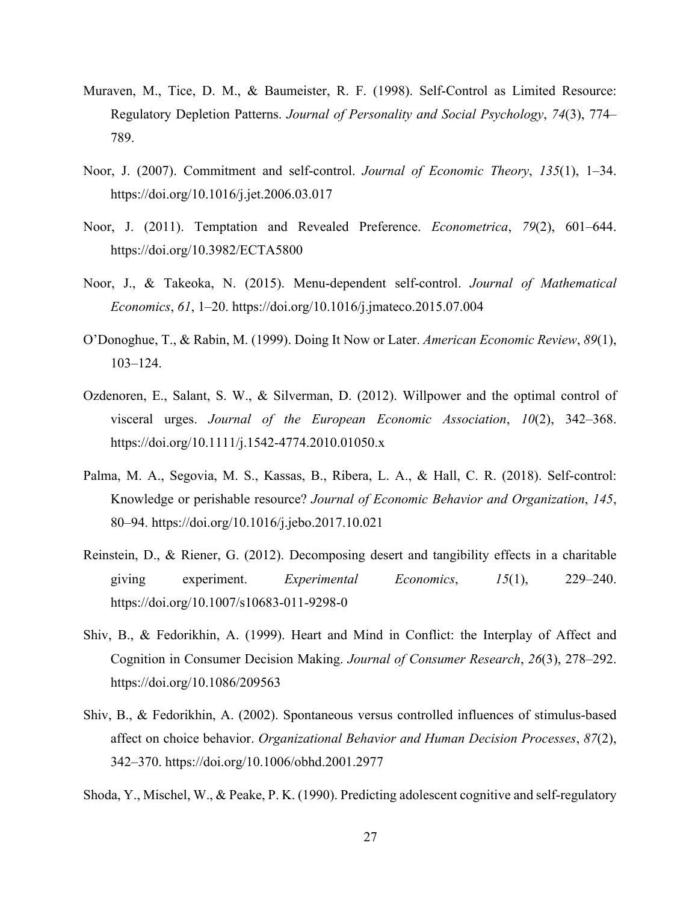- Muraven, M., Tice, D. M., & Baumeister, R. F. (1998). Self-Control as Limited Resource: Regulatory Depletion Patterns. *Journal of Personality and Social Psychology*, *74*(3), 774– 789.
- Noor, J. (2007). Commitment and self-control. *Journal of Economic Theory*, *135*(1), 1–34. https://doi.org/10.1016/j.jet.2006.03.017
- Noor, J. (2011). Temptation and Revealed Preference. *Econometrica*, *79*(2), 601–644. https://doi.org/10.3982/ECTA5800
- Noor, J., & Takeoka, N. (2015). Menu-dependent self-control. *Journal of Mathematical Economics*, *61*, 1–20. https://doi.org/10.1016/j.jmateco.2015.07.004
- O'Donoghue, T., & Rabin, M. (1999). Doing It Now or Later. *American Economic Review*, *89*(1), 103–124.
- Ozdenoren, E., Salant, S. W., & Silverman, D. (2012). Willpower and the optimal control of visceral urges. *Journal of the European Economic Association*, *10*(2), 342–368. https://doi.org/10.1111/j.1542-4774.2010.01050.x
- Palma, M. A., Segovia, M. S., Kassas, B., Ribera, L. A., & Hall, C. R. (2018). Self-control: Knowledge or perishable resource? *Journal of Economic Behavior and Organization*, *145*, 80–94. https://doi.org/10.1016/j.jebo.2017.10.021
- Reinstein, D., & Riener, G. (2012). Decomposing desert and tangibility effects in a charitable giving experiment. *Experimental Economics*, *15*(1), 229–240. https://doi.org/10.1007/s10683-011-9298-0
- Shiv, B., & Fedorikhin, A. (1999). Heart and Mind in Conflict: the Interplay of Affect and Cognition in Consumer Decision Making. *Journal of Consumer Research*, *26*(3), 278–292. https://doi.org/10.1086/209563
- Shiv, B., & Fedorikhin, A. (2002). Spontaneous versus controlled influences of stimulus-based affect on choice behavior. *Organizational Behavior and Human Decision Processes*, *87*(2), 342–370. https://doi.org/10.1006/obhd.2001.2977
- Shoda, Y., Mischel, W., & Peake, P. K. (1990). Predicting adolescent cognitive and self-regulatory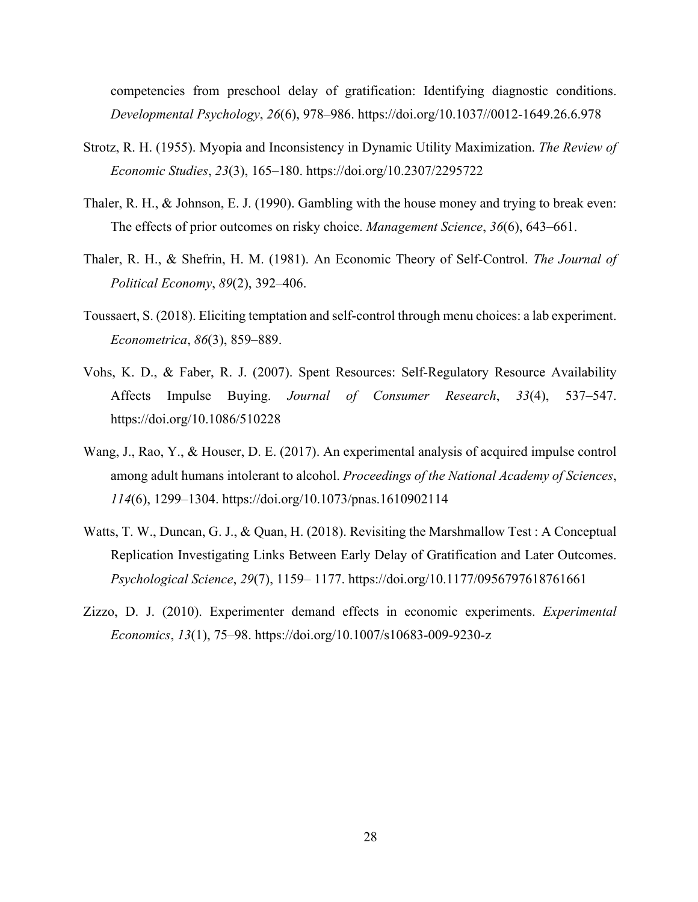competencies from preschool delay of gratification: Identifying diagnostic conditions. *Developmental Psychology*, *26*(6), 978–986. https://doi.org/10.1037//0012-1649.26.6.978

- Strotz, R. H. (1955). Myopia and Inconsistency in Dynamic Utility Maximization. *The Review of Economic Studies*, *23*(3), 165–180. https://doi.org/10.2307/2295722
- Thaler, R. H., & Johnson, E. J. (1990). Gambling with the house money and trying to break even: The effects of prior outcomes on risky choice. *Management Science*, *36*(6), 643–661.
- Thaler, R. H., & Shefrin, H. M. (1981). An Economic Theory of Self-Control. *The Journal of Political Economy*, *89*(2), 392–406.
- Toussaert, S. (2018). Eliciting temptation and self-control through menu choices: a lab experiment. *Econometrica*, *86*(3), 859–889.
- Vohs, K. D., & Faber, R. J. (2007). Spent Resources: Self‐Regulatory Resource Availability Affects Impulse Buying. *Journal of Consumer Research*, *33*(4), 537–547. https://doi.org/10.1086/510228
- Wang, J., Rao, Y., & Houser, D. E. (2017). An experimental analysis of acquired impulse control among adult humans intolerant to alcohol. *Proceedings of the National Academy of Sciences*, *114*(6), 1299–1304. https://doi.org/10.1073/pnas.1610902114
- Watts, T. W., Duncan, G. J., & Quan, H. (2018). Revisiting the Marshmallow Test : A Conceptual Replication Investigating Links Between Early Delay of Gratification and Later Outcomes. *Psychological Science*, *29*(7), 1159– 1177. https://doi.org/10.1177/0956797618761661
- Zizzo, D. J. (2010). Experimenter demand effects in economic experiments. *Experimental Economics*, *13*(1), 75–98. https://doi.org/10.1007/s10683-009-9230-z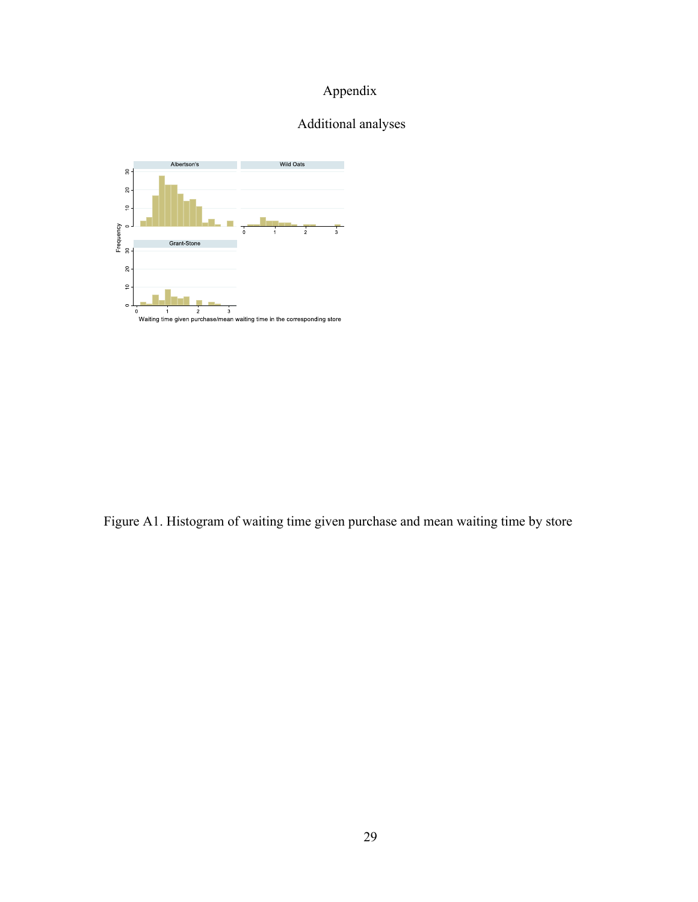## Appendix

## Additional analyses



Figure A1. Histogram of waiting time given purchase and mean waiting time by store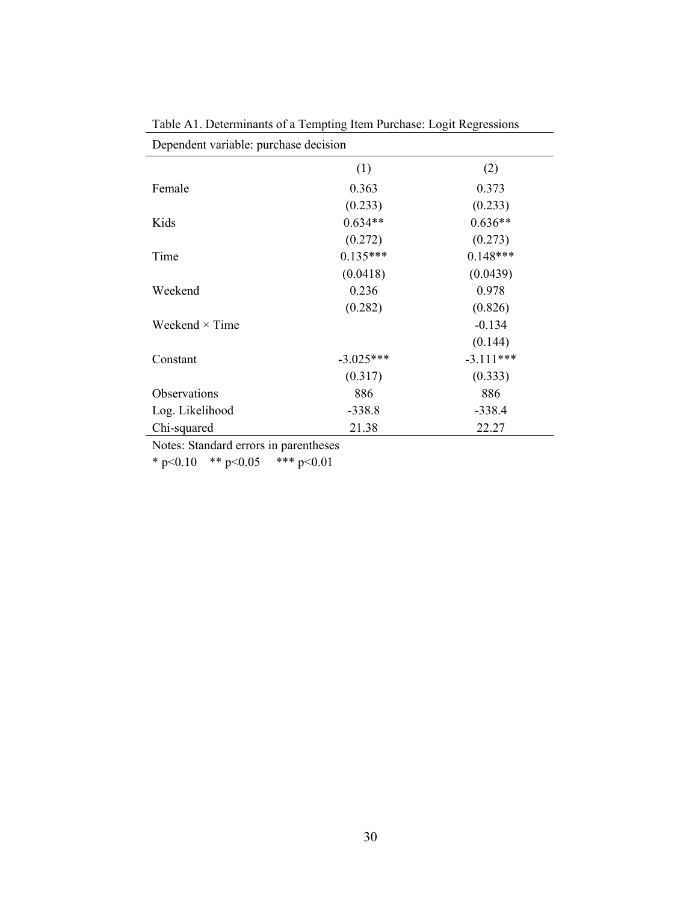| Dependent variable: purchase decision |             |             |  |  |  |  |  |
|---------------------------------------|-------------|-------------|--|--|--|--|--|
|                                       | (1)         | (2)         |  |  |  |  |  |
| Female                                | 0.363       | 0.373       |  |  |  |  |  |
|                                       | (0.233)     | (0.233)     |  |  |  |  |  |
| Kids                                  | $0.634**$   | $0.636**$   |  |  |  |  |  |
|                                       | (0.272)     | (0.273)     |  |  |  |  |  |
| Time                                  | $0.135***$  | $0.148***$  |  |  |  |  |  |
|                                       | (0.0418)    | (0.0439)    |  |  |  |  |  |
| Weekend                               | 0.236       | 0.978       |  |  |  |  |  |
|                                       | (0.282)     | (0.826)     |  |  |  |  |  |
| Weekend $\times$ Time                 |             | $-0.134$    |  |  |  |  |  |
|                                       |             | (0.144)     |  |  |  |  |  |
| Constant                              | $-3.025***$ | $-3.111***$ |  |  |  |  |  |
|                                       | (0.317)     | (0.333)     |  |  |  |  |  |
| Observations                          | 886         | 886         |  |  |  |  |  |
| Log. Likelihood                       | $-338.8$    | $-338.4$    |  |  |  |  |  |
| Chi-squared                           | 21.38       | 22.27       |  |  |  |  |  |

Table A1. Determinants of a Tempting Item Purchase: Logit Regressions

Notes: Standard errors in parentheses

\* p<0.10 \*\* p<0.05 \*\*\* p<0.01